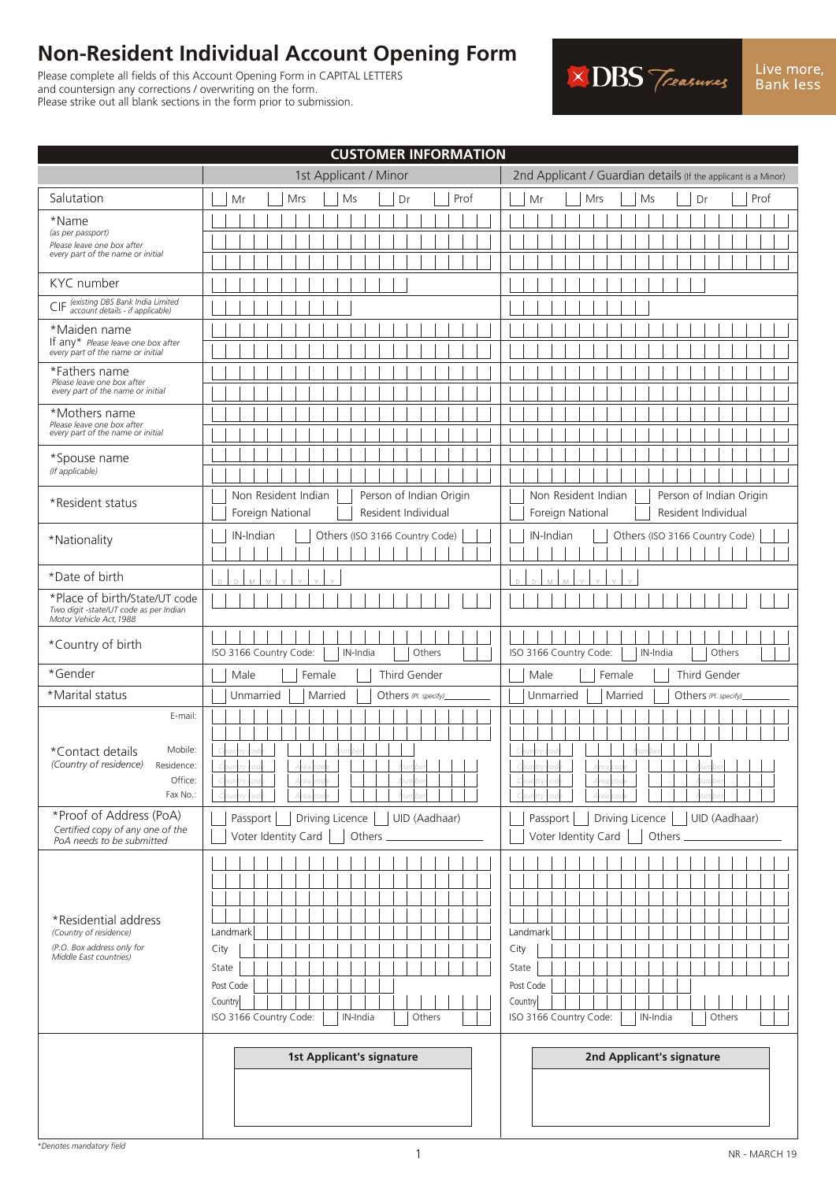# **Non-Resident Individual Account Opening Form**

Please complete all fields of this Account Opening Form in CAPITAL LETTERS and countersign any corrections / overwriting on the form. Please strike out all blank sections in the form prior to submission.



| <b>CUSTOMER INFORMATION</b>                                                                            |                                                                                                                                                                                                        |  |  |  |  |  |
|--------------------------------------------------------------------------------------------------------|--------------------------------------------------------------------------------------------------------------------------------------------------------------------------------------------------------|--|--|--|--|--|
|                                                                                                        | 1st Applicant / Minor<br>2nd Applicant / Guardian details (If the applicant is a Minor)                                                                                                                |  |  |  |  |  |
| Salutation                                                                                             | Ms<br>Prof<br>Mr<br>Mrs<br>Ms<br>Dr<br>Prof<br>Mr<br>Mrs<br>Dr                                                                                                                                         |  |  |  |  |  |
| *Name<br>(as per passport)                                                                             |                                                                                                                                                                                                        |  |  |  |  |  |
| Please leave one box after<br>every part of the name or initial                                        |                                                                                                                                                                                                        |  |  |  |  |  |
|                                                                                                        |                                                                                                                                                                                                        |  |  |  |  |  |
| KYC number                                                                                             |                                                                                                                                                                                                        |  |  |  |  |  |
| CIF (existing DBS Bank India Limited<br>CIF account details - if applicable)                           |                                                                                                                                                                                                        |  |  |  |  |  |
| *Maiden name<br>If any* Please leave one box after                                                     |                                                                                                                                                                                                        |  |  |  |  |  |
| every part of the name or initial                                                                      |                                                                                                                                                                                                        |  |  |  |  |  |
| *Fathers name<br>Please leave one box after                                                            |                                                                                                                                                                                                        |  |  |  |  |  |
| every part of the name or initial                                                                      |                                                                                                                                                                                                        |  |  |  |  |  |
| *Mothers name<br>Please leave one box after                                                            |                                                                                                                                                                                                        |  |  |  |  |  |
| every part of the name or initial                                                                      |                                                                                                                                                                                                        |  |  |  |  |  |
| *Spouse name<br>(If applicable)                                                                        |                                                                                                                                                                                                        |  |  |  |  |  |
|                                                                                                        |                                                                                                                                                                                                        |  |  |  |  |  |
| *Resident status                                                                                       | Non Resident Indian<br>Person of Indian Origin<br>Non Resident Indian<br>Person of Indian Origin<br>Resident Individual<br>Foreign National<br>Resident Individual<br>Foreign National                 |  |  |  |  |  |
| *Nationality                                                                                           | IN-Indian<br>Others (ISO 3166 Country Code)<br>IN-Indian<br>Others (ISO 3166 Country Code)                                                                                                             |  |  |  |  |  |
|                                                                                                        |                                                                                                                                                                                                        |  |  |  |  |  |
| *Date of birth                                                                                         |                                                                                                                                                                                                        |  |  |  |  |  |
| *Place of birth/State/UT code<br>Two digit -state/UT code as per Indian<br>Motor Vehicle Act, 1988     |                                                                                                                                                                                                        |  |  |  |  |  |
| *Country of birth                                                                                      | ISO 3166 Country Code:<br>ISO 3166 Country Code:<br>IN-India<br>Others<br>IN-India<br>Others                                                                                                           |  |  |  |  |  |
| *Gender                                                                                                | Third Gender<br>Third Gender<br>Male<br>Female<br>Male<br>Female                                                                                                                                       |  |  |  |  |  |
| *Marital status                                                                                        | Married<br>Unmarried<br>Married<br>Unmarried<br>Others (Pl. specify)<br>Others (Pl. specify)                                                                                                           |  |  |  |  |  |
| E-mail:<br>Mobile:<br>*Contact details<br>(Country of residence)<br>Residence:<br>Office:<br>Fax No.:  | $\blacksquare$<br><b>TIMER</b>                                                                                                                                                                         |  |  |  |  |  |
| *Proof of Address (PoA)<br>Certified copy of any one of the<br>PoA needs to be submitted               | Passport<br>Driving Licence<br>UID (Aadhaar)<br>Driving Licence<br>UID (Aadhaar)<br>Passport<br>Voter Identity Card<br>Voter Identity Card<br>Others _<br>Others                                       |  |  |  |  |  |
|                                                                                                        |                                                                                                                                                                                                        |  |  |  |  |  |
| *Residential address<br>(Country of residence)<br>(P.O. Box address only for<br>Middle East countries) | Landmark<br>Landmark<br>City<br>City<br>State<br>State<br>Post Code<br>Post Code<br>Country<br>Country<br>ISO 3166 Country Code:<br>ISO 3166 Country Code:<br>IN-India<br>Others<br>IN-India<br>Others |  |  |  |  |  |
|                                                                                                        | <b>1st Applicant's signature</b><br>2nd Applicant's signature                                                                                                                                          |  |  |  |  |  |

 $\overline{\phantom{a}}$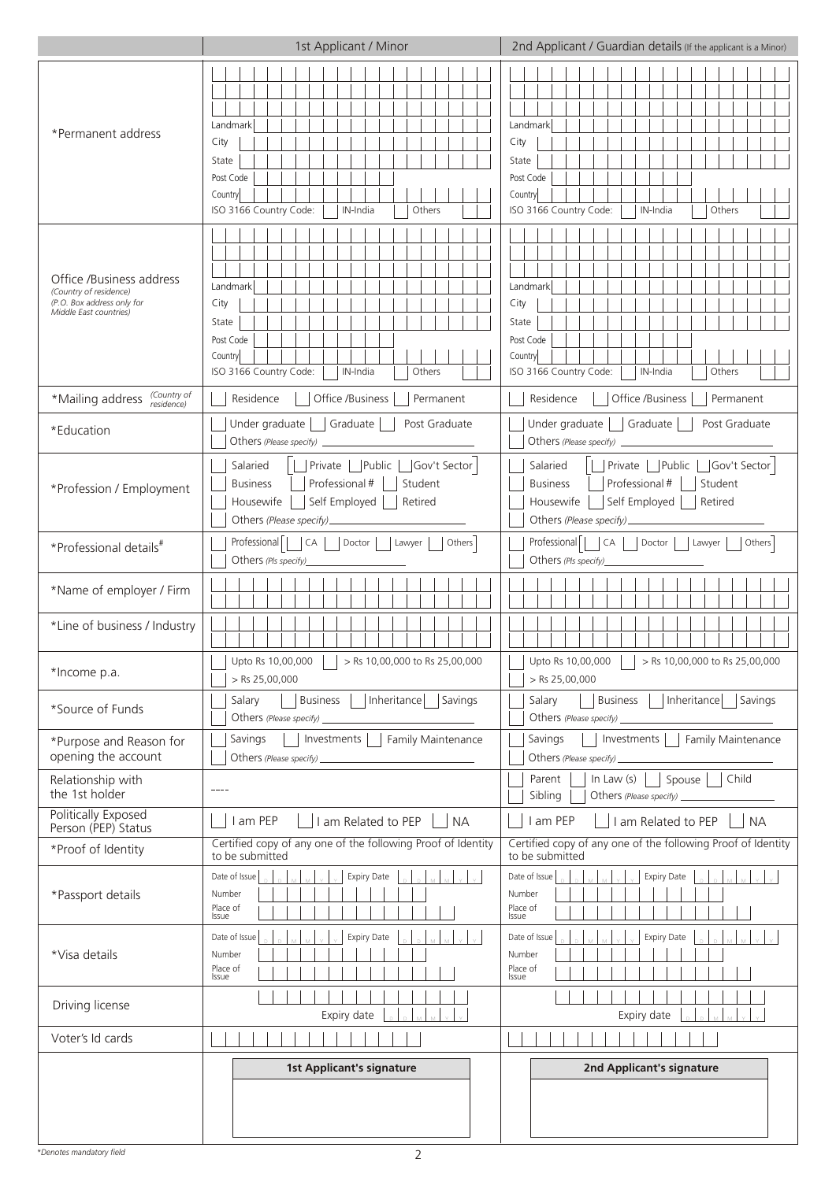|                                                                                                            | 1st Applicant / Minor                                                                                                                                                                                                                                                                                                                                                                                                                                                                                                              | 2nd Applicant / Guardian details (If the applicant is a Minor)                                                                                                   |  |  |  |
|------------------------------------------------------------------------------------------------------------|------------------------------------------------------------------------------------------------------------------------------------------------------------------------------------------------------------------------------------------------------------------------------------------------------------------------------------------------------------------------------------------------------------------------------------------------------------------------------------------------------------------------------------|------------------------------------------------------------------------------------------------------------------------------------------------------------------|--|--|--|
| *Permanent address                                                                                         | Landmark<br>City<br>State<br>Post Code<br>Country<br>ISO 3166 Country Code:<br>IN-India<br>Others                                                                                                                                                                                                                                                                                                                                                                                                                                  | Landmark<br>City<br>State<br>Post Code<br>Country<br>ISO 3166 Country Code:<br>Others<br>IN-India                                                                |  |  |  |
| Office /Business address<br>(Country of residence)<br>(P.O. Box address only for<br>Middle East countries) | Landmark<br>City<br>State<br>Post Code<br>Country<br>ISO 3166 Country Code:<br>IN-India<br>Others                                                                                                                                                                                                                                                                                                                                                                                                                                  | Landmark<br>City<br>State<br>Post Code<br>Country<br>ISO 3166 Country Code:<br>Others<br>IN-India                                                                |  |  |  |
| (Country of<br>*Mailing address<br>residence)                                                              | Residence<br>Office /Business<br>Permanent                                                                                                                                                                                                                                                                                                                                                                                                                                                                                         | Residence<br>Office /Business<br>Permanent                                                                                                                       |  |  |  |
| *Education                                                                                                 | Under graduate<br>Graduate<br>Post Graduate<br>Others (Please specify)                                                                                                                                                                                                                                                                                                                                                                                                                                                             | Under graduate<br>Graduate<br>Post Graduate<br>Others (Please specify) _                                                                                         |  |  |  |
| *Profession / Employment                                                                                   | Salaried<br>Private   Public<br>Gov't Sector<br>Professional #<br>Student<br><b>Business</b><br>Self Employed<br>Retired<br>Housewife<br>Others (Please specify).                                                                                                                                                                                                                                                                                                                                                                  | Private   Public<br>Gov't Sector<br>Salaried<br>Professional #<br>Student<br><b>Business</b><br>Self Employed<br>Retired<br>Housewife<br>Others (Please specify) |  |  |  |
| *Professional details <sup>#</sup>                                                                         | Professional  <br><b>CA</b><br>Others<br>Doctor<br>Lawyer<br>Others (Pls specify)                                                                                                                                                                                                                                                                                                                                                                                                                                                  | Professional  <br>CA<br>Others<br>Doctor<br>Lawyer<br>Others (Pls specify)                                                                                       |  |  |  |
| *Name of employer / Firm                                                                                   |                                                                                                                                                                                                                                                                                                                                                                                                                                                                                                                                    |                                                                                                                                                                  |  |  |  |
| *Line of business / Industry                                                                               |                                                                                                                                                                                                                                                                                                                                                                                                                                                                                                                                    |                                                                                                                                                                  |  |  |  |
| *Income p.a.                                                                                               | Upto Rs 10,00,000       > Rs 10,00,000 to Rs 25,00,000<br>> Rs 25,00,000                                                                                                                                                                                                                                                                                                                                                                                                                                                           | Upto Rs 10,00,000 $\Box$ > Rs 10,00,000 to Rs 25,00,000<br>$>$ Rs 25,00,000                                                                                      |  |  |  |
| *Source of Funds                                                                                           | Business     Inheritance   Savings<br>Salary<br>Others (Please specify)                                                                                                                                                                                                                                                                                                                                                                                                                                                            | Inheritance   Savings<br>Business  <br>Salary                                                                                                                    |  |  |  |
| *Purpose and Reason for<br>opening the account                                                             | Savings<br>Investments     Family Maintenance<br>Others (Please specify)<br>$\label{eq:2.1} \frac{1}{\sqrt{2}}\left(\frac{1}{\sqrt{2}}\right)^{2} \left(\frac{1}{\sqrt{2}}\right)^{2} \left(\frac{1}{\sqrt{2}}\right)^{2} \left(\frac{1}{\sqrt{2}}\right)^{2} \left(\frac{1}{\sqrt{2}}\right)^{2} \left(\frac{1}{\sqrt{2}}\right)^{2} \left(\frac{1}{\sqrt{2}}\right)^{2} \left(\frac{1}{\sqrt{2}}\right)^{2} \left(\frac{1}{\sqrt{2}}\right)^{2} \left(\frac{1}{\sqrt{2}}\right)^{2} \left(\frac{1}{\sqrt{2}}\right)^{2} \left(\$ | Investments     Family Maintenance<br>Savings<br>Others (Please specify)                                                                                         |  |  |  |
| Relationship with<br>the 1st holder                                                                        | $- - - -$                                                                                                                                                                                                                                                                                                                                                                                                                                                                                                                          | Spouse<br>Child<br>Parent<br>In Law $(s)$    <br>Sibling<br>Others (Please specify) _                                                                            |  |  |  |
| Politically Exposed<br>Person (PEP) Status                                                                 | I am PEP<br>I am Related to PEP<br><b>NA</b>                                                                                                                                                                                                                                                                                                                                                                                                                                                                                       | <b>NA</b><br>I am PEP<br>I am Related to PEP                                                                                                                     |  |  |  |
| *Proof of Identity                                                                                         | Certified copy of any one of the following Proof of Identity<br>to be submitted                                                                                                                                                                                                                                                                                                                                                                                                                                                    | Certified copy of any one of the following Proof of Identity<br>to be submitted                                                                                  |  |  |  |
| *Passport details                                                                                          | Date of Issue<br><b>Expiry Date</b><br>Number<br>Place of<br>Issue                                                                                                                                                                                                                                                                                                                                                                                                                                                                 | Date of Issue<br><b>Expiry Date</b><br>Number<br>Place of<br>Issue                                                                                               |  |  |  |
| *Visa details                                                                                              | Date of Issue<br><b>Expiry Date</b><br>Number<br>Place of<br>Issue                                                                                                                                                                                                                                                                                                                                                                                                                                                                 | Date of Issue<br><b>Expiry Date</b><br>Number<br>Place of<br>Issue                                                                                               |  |  |  |
| Driving license                                                                                            | Expiry date                                                                                                                                                                                                                                                                                                                                                                                                                                                                                                                        | Expiry date                                                                                                                                                      |  |  |  |
| Voter's Id cards                                                                                           |                                                                                                                                                                                                                                                                                                                                                                                                                                                                                                                                    |                                                                                                                                                                  |  |  |  |
|                                                                                                            | <b>1st Applicant's signature</b>                                                                                                                                                                                                                                                                                                                                                                                                                                                                                                   | 2nd Applicant's signature                                                                                                                                        |  |  |  |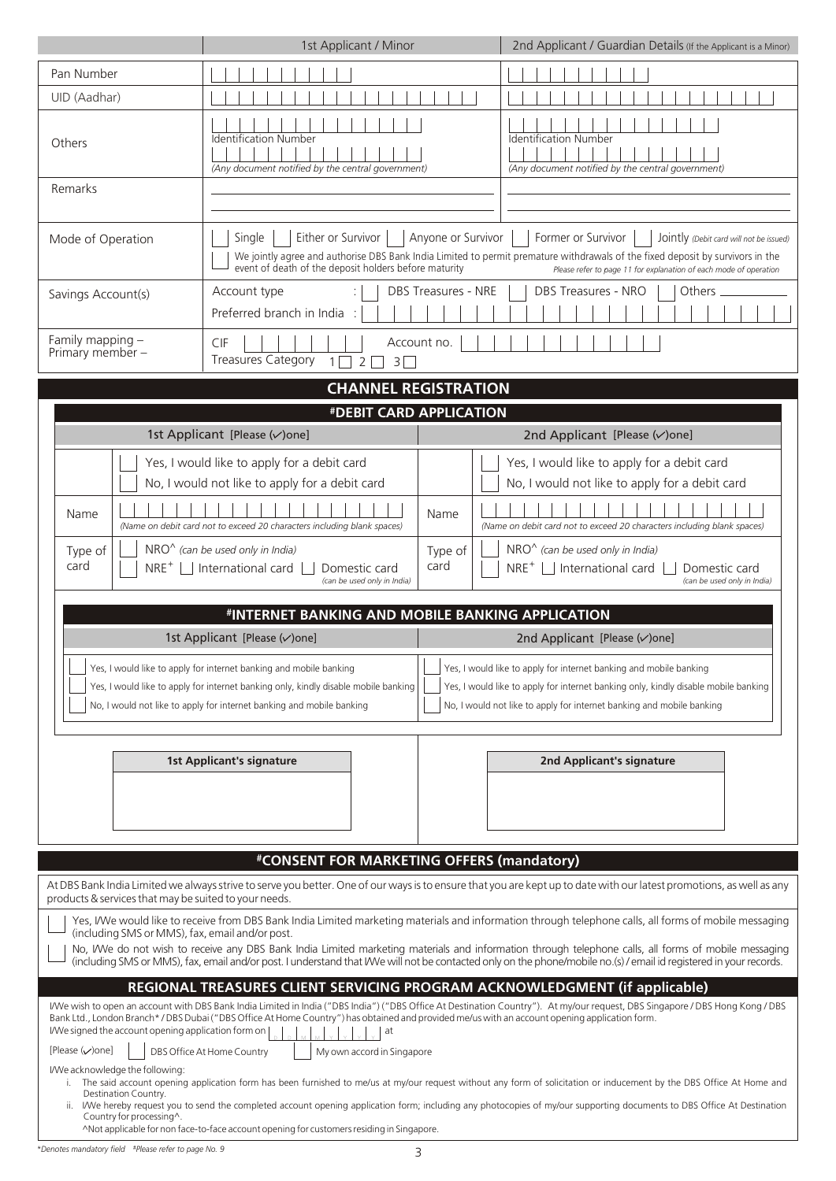|                                                                                                                 | 1st Applicant / Minor                                                                                                                                                                                                                                                                                                                                                               |                            | 2nd Applicant / Guardian Details (If the Applicant is a Minor)                                                                                                                                                                                                                                                                                                                                                                                                                        |  |  |
|-----------------------------------------------------------------------------------------------------------------|-------------------------------------------------------------------------------------------------------------------------------------------------------------------------------------------------------------------------------------------------------------------------------------------------------------------------------------------------------------------------------------|----------------------------|---------------------------------------------------------------------------------------------------------------------------------------------------------------------------------------------------------------------------------------------------------------------------------------------------------------------------------------------------------------------------------------------------------------------------------------------------------------------------------------|--|--|
| Pan Number                                                                                                      |                                                                                                                                                                                                                                                                                                                                                                                     |                            |                                                                                                                                                                                                                                                                                                                                                                                                                                                                                       |  |  |
| UID (Aadhar)                                                                                                    |                                                                                                                                                                                                                                                                                                                                                                                     |                            |                                                                                                                                                                                                                                                                                                                                                                                                                                                                                       |  |  |
| Others                                                                                                          | <b>Identification Number</b><br>(Any document notified by the central government)                                                                                                                                                                                                                                                                                                   |                            | <b>Identification Number</b><br>(Any document notified by the central government)                                                                                                                                                                                                                                                                                                                                                                                                     |  |  |
| Remarks                                                                                                         |                                                                                                                                                                                                                                                                                                                                                                                     |                            |                                                                                                                                                                                                                                                                                                                                                                                                                                                                                       |  |  |
| Mode of Operation                                                                                               | Either or Survivor<br>Anyone or Survivor<br>Single<br>Former or Survivor<br>Jointly (Debit card will not be issued)<br>We jointly agree and authorise DBS Bank India Limited to permit premature withdrawals of the fixed deposit by survivors in the<br>event of death of the deposit holders before maturity<br>Please refer to page 11 for explanation of each mode of operation |                            |                                                                                                                                                                                                                                                                                                                                                                                                                                                                                       |  |  |
| Savings Account(s)                                                                                              | Account type<br>Preferred branch in India :                                                                                                                                                                                                                                                                                                                                         | <b>DBS Treasures - NRE</b> | DBS Treasures - NRO<br>Others                                                                                                                                                                                                                                                                                                                                                                                                                                                         |  |  |
| Family mapping -<br>Primary member -                                                                            | <b>CIF</b><br><b>Treasures Category</b><br>$\overline{2}$<br>$1\vert$<br>3 <sup>7</sup>                                                                                                                                                                                                                                                                                             | Account no.                |                                                                                                                                                                                                                                                                                                                                                                                                                                                                                       |  |  |
|                                                                                                                 | <b>CHANNEL REGISTRATION</b>                                                                                                                                                                                                                                                                                                                                                         |                            |                                                                                                                                                                                                                                                                                                                                                                                                                                                                                       |  |  |
|                                                                                                                 | #DEBIT CARD APPLICATION                                                                                                                                                                                                                                                                                                                                                             |                            |                                                                                                                                                                                                                                                                                                                                                                                                                                                                                       |  |  |
|                                                                                                                 | 1st Applicant [Please (v) one]                                                                                                                                                                                                                                                                                                                                                      |                            | 2nd Applicant [Please (v) one]                                                                                                                                                                                                                                                                                                                                                                                                                                                        |  |  |
| Name                                                                                                            | Yes, I would like to apply for a debit card<br>No, I would not like to apply for a debit card<br>(Name on debit card not to exceed 20 characters including blank spaces)                                                                                                                                                                                                            | Name                       | Yes, I would like to apply for a debit card<br>No, I would not like to apply for a debit card<br>(Name on debit card not to exceed 20 characters including blank spaces)                                                                                                                                                                                                                                                                                                              |  |  |
| card                                                                                                            | NRO <sup>^</sup> (can be used only in India)<br>$NRO^{\wedge}$ (can be used only in India)<br>Type of<br>Type of<br>$NRE^+$ $\Box$ International card<br>card<br>$NRE^+$ $\Box$ International card<br>Domestic card<br>Domestic card<br>(can be used only in India)<br>(can be used only in India)<br>#INTERNET BANKING AND MOBILE BANKING APPLICATION                              |                            |                                                                                                                                                                                                                                                                                                                                                                                                                                                                                       |  |  |
|                                                                                                                 | 1st Applicant [Please (v) one]                                                                                                                                                                                                                                                                                                                                                      |                            | 2nd Applicant [Please (v) one]                                                                                                                                                                                                                                                                                                                                                                                                                                                        |  |  |
|                                                                                                                 | Yes, I would like to apply for internet banking and mobile banking<br>Yes, I would like to apply for internet banking only, kindly disable mobile banking<br>No, I would not like to apply for internet banking and mobile banking                                                                                                                                                  |                            | Yes, I would like to apply for internet banking and mobile banking<br>Yes, I would like to apply for internet banking only, kindly disable mobile banking<br>No, I would not like to apply for internet banking and mobile banking                                                                                                                                                                                                                                                    |  |  |
|                                                                                                                 | <b>1st Applicant's signature</b>                                                                                                                                                                                                                                                                                                                                                    |                            | 2nd Applicant's signature                                                                                                                                                                                                                                                                                                                                                                                                                                                             |  |  |
|                                                                                                                 | #CONSENT FOR MARKETING OFFERS (mandatory)                                                                                                                                                                                                                                                                                                                                           |                            |                                                                                                                                                                                                                                                                                                                                                                                                                                                                                       |  |  |
| products & services that may be suited to your needs.                                                           |                                                                                                                                                                                                                                                                                                                                                                                     |                            | At DBS Bank India Limited we always strive to serve you better. One of our ways is to ensure that you are kept up to date with our latest promotions, as well as any                                                                                                                                                                                                                                                                                                                  |  |  |
| (including SMS or MMS), fax, email and/or post.                                                                 |                                                                                                                                                                                                                                                                                                                                                                                     |                            | Yes, I/We would like to receive from DBS Bank India Limited marketing materials and information through telephone calls, all forms of mobile messaging<br>No, IWe do not wish to receive any DBS Bank India Limited marketing materials and information through telephone calls, all forms of mobile messaging<br>(including SMS or MMS), fax, email and/or post. I understand that I/We will not be contacted only on the phone/mobile no.(s) / email id registered in your records. |  |  |
| I/We signed the account opening application form on<br>[Please $(\vee)$ one]<br>I/We acknowledge the following: | REGIONAL TREASURES CLIENT SERVICING PROGRAM ACKNOWLEDGMENT (if applicable)<br>Bank Ltd., London Branch*/DBS Dubai ("DBS Office At Home Country") has obtained and provided me/us with an account opening application form.<br>at<br>DBS Office At Home Country<br>My own accord in Singapore                                                                                        |                            | I/We wish to open an account with DBS Bank India Limited in India ("DBS India") ("DBS Office At Destination Country"). At my/our request, DBS Singapore / DBS Hong Kong / DBS                                                                                                                                                                                                                                                                                                         |  |  |
| i.<br>Destination Country.<br>Country for processing^.                                                          | ^Not applicable for non face-to-face account opening for customers residing in Singapore.                                                                                                                                                                                                                                                                                           |                            | The said account opening application form has been furnished to me/us at my/our request without any form of solicitation or inducement by the DBS Office At Home and<br>ii. We hereby request you to send the completed account opening application form; including any photocopies of my/our supporting documents to DBS Office At Destination                                                                                                                                       |  |  |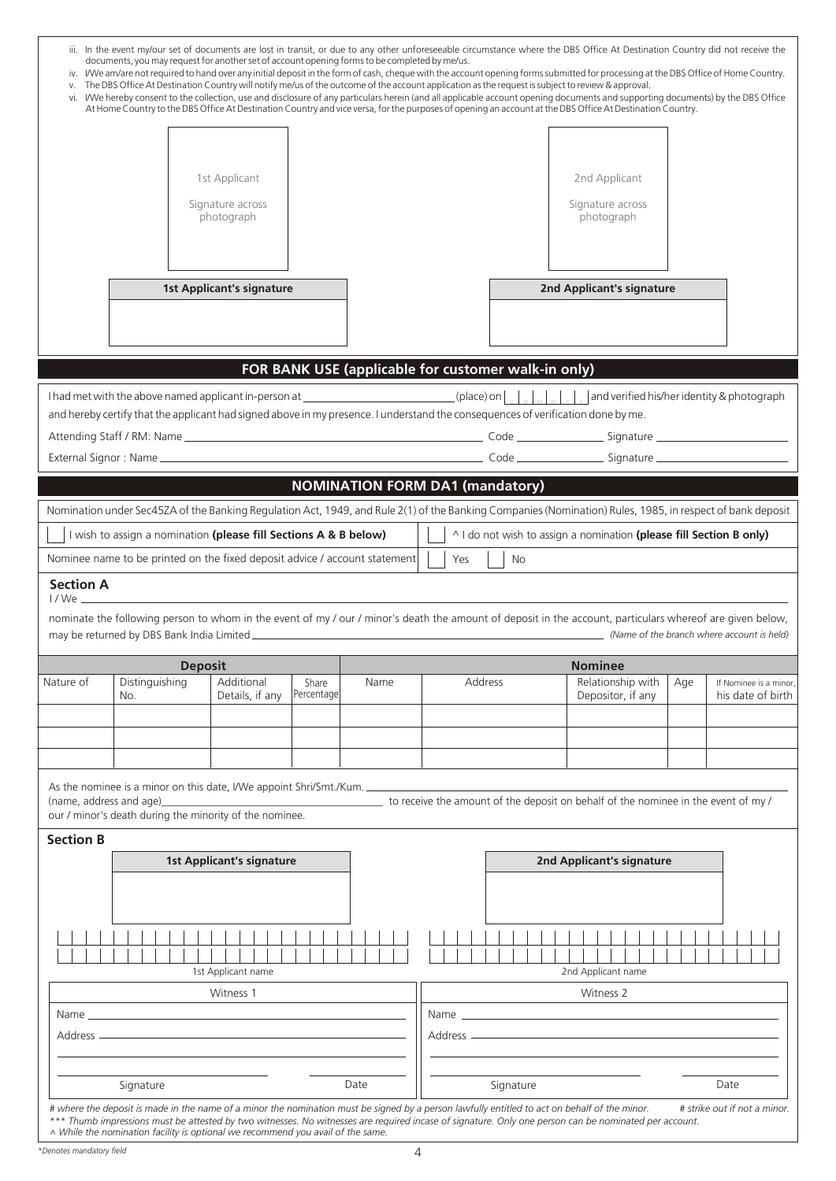| vi.                     | documents, you may request for another set of account opening forms to be completed by me/us.<br>The DBS Office At Destination Country will notify me/us of the outcome of the account application as the request is subject to review & approval. |                                                 |                     |                                                     |          |     | iv. IWe am/are not required to hand over any initial deposit in the form of cash, cheque with the account opening forms submitted for processing at the DBS Office of Home Country.<br>I/We hereby consent to the collection, use and disclosure of any particulars herein (and all applicable account opening documents and supporting documents) by the DBS Office<br>At Home Country to the DBS Office At Destination Country and vice versa, for the purposes of opening an account at the DBS Office At Destination Country. |     |                                             |
|-------------------------|----------------------------------------------------------------------------------------------------------------------------------------------------------------------------------------------------------------------------------------------------|-------------------------------------------------|---------------------|-----------------------------------------------------|----------|-----|-----------------------------------------------------------------------------------------------------------------------------------------------------------------------------------------------------------------------------------------------------------------------------------------------------------------------------------------------------------------------------------------------------------------------------------------------------------------------------------------------------------------------------------|-----|---------------------------------------------|
|                         |                                                                                                                                                                                                                                                    | 1st Applicant<br>Signature across<br>photograph |                     |                                                     |          |     | 2nd Applicant<br>Signature across<br>photograph                                                                                                                                                                                                                                                                                                                                                                                                                                                                                   |     |                                             |
|                         |                                                                                                                                                                                                                                                    | <b>1st Applicant's signature</b>                |                     | FOR BANK USE (applicable for customer walk-in only) |          |     | 2nd Applicant's signature                                                                                                                                                                                                                                                                                                                                                                                                                                                                                                         |     |                                             |
|                         | and hereby certify that the applicant had signed above in my presence. I understand the consequences of verification done by me.                                                                                                                   |                                                 |                     |                                                     |          |     |                                                                                                                                                                                                                                                                                                                                                                                                                                                                                                                                   |     |                                             |
|                         |                                                                                                                                                                                                                                                    |                                                 |                     |                                                     |          |     |                                                                                                                                                                                                                                                                                                                                                                                                                                                                                                                                   |     |                                             |
|                         |                                                                                                                                                                                                                                                    |                                                 |                     |                                                     |          |     |                                                                                                                                                                                                                                                                                                                                                                                                                                                                                                                                   |     |                                             |
|                         | I wish to assign a nomination (please fill Sections A & B below)<br>Nominee name to be printed on the fixed deposit advice / account statement                                                                                                     |                                                 |                     | <b>NOMINATION FORM DA1 (mandatory)</b>              | Yes      | No. | Nomination under Sec45ZA of the Banking Regulation Act, 1949, and Rule 2(1) of the Banking Companies (Nomination) Rules, 1985, in respect of bank deposit<br>^ I do not wish to assign a nomination (please fill Section B only)                                                                                                                                                                                                                                                                                                  |     |                                             |
| <b>Section A</b>        |                                                                                                                                                                                                                                                    |                                                 |                     |                                                     |          |     |                                                                                                                                                                                                                                                                                                                                                                                                                                                                                                                                   |     |                                             |
|                         |                                                                                                                                                                                                                                                    |                                                 |                     |                                                     |          |     | nominate the following person to whom in the event of my / our / minor's death the amount of deposit in the account, particulars whereof are given below,                                                                                                                                                                                                                                                                                                                                                                         |     |                                             |
|                         | <b>Deposit</b>                                                                                                                                                                                                                                     |                                                 |                     |                                                     |          |     | <b>Nominee</b>                                                                                                                                                                                                                                                                                                                                                                                                                                                                                                                    |     |                                             |
| Nature of               | Distinguishing<br>No.                                                                                                                                                                                                                              | Additional<br>Details, if any                   | Share<br>Percentage | Name                                                | Address  |     | Relationship with<br>Depositor, if any                                                                                                                                                                                                                                                                                                                                                                                                                                                                                            | Age | If Nominee is a minor,<br>his date of birth |
|                         |                                                                                                                                                                                                                                                    |                                                 |                     |                                                     |          |     |                                                                                                                                                                                                                                                                                                                                                                                                                                                                                                                                   |     |                                             |
|                         |                                                                                                                                                                                                                                                    |                                                 |                     |                                                     |          |     |                                                                                                                                                                                                                                                                                                                                                                                                                                                                                                                                   |     |                                             |
| (name, address and age) | As the nominee is a minor on this date, I/We appoint Shri/Smt./Kum.<br>our / minor's death during the minority of the nominee.                                                                                                                     |                                                 |                     |                                                     |          |     | to receive the amount of the deposit on behalf of the nominee in the event of my /                                                                                                                                                                                                                                                                                                                                                                                                                                                |     |                                             |
| <b>Section B</b>        |                                                                                                                                                                                                                                                    | <b>1st Applicant's signature</b>                |                     |                                                     |          |     | 2nd Applicant's signature                                                                                                                                                                                                                                                                                                                                                                                                                                                                                                         |     |                                             |
|                         |                                                                                                                                                                                                                                                    |                                                 |                     |                                                     |          |     |                                                                                                                                                                                                                                                                                                                                                                                                                                                                                                                                   |     |                                             |
|                         |                                                                                                                                                                                                                                                    | 1st Applicant name                              |                     |                                                     |          |     | 2nd Applicant name                                                                                                                                                                                                                                                                                                                                                                                                                                                                                                                |     |                                             |
|                         |                                                                                                                                                                                                                                                    | Witness 1                                       |                     |                                                     |          |     | Witness 2                                                                                                                                                                                                                                                                                                                                                                                                                                                                                                                         |     |                                             |
| Name _                  |                                                                                                                                                                                                                                                    |                                                 |                     |                                                     | Name ___ |     |                                                                                                                                                                                                                                                                                                                                                                                                                                                                                                                                   |     |                                             |
| Address —               |                                                                                                                                                                                                                                                    |                                                 |                     |                                                     |          |     |                                                                                                                                                                                                                                                                                                                                                                                                                                                                                                                                   |     |                                             |

*# where the deposit is made in the name of a minor the nomination must be signed by a person lawfully entitled to act on behalf of the minor. # strike out if not a minor.* \*\*\* Thumb impressions must be attested by two witnesses. No witnesses are required incase of signature. Only one person can be nominated per account.<br>^ While the nomination facility is optional we recommend you avail of th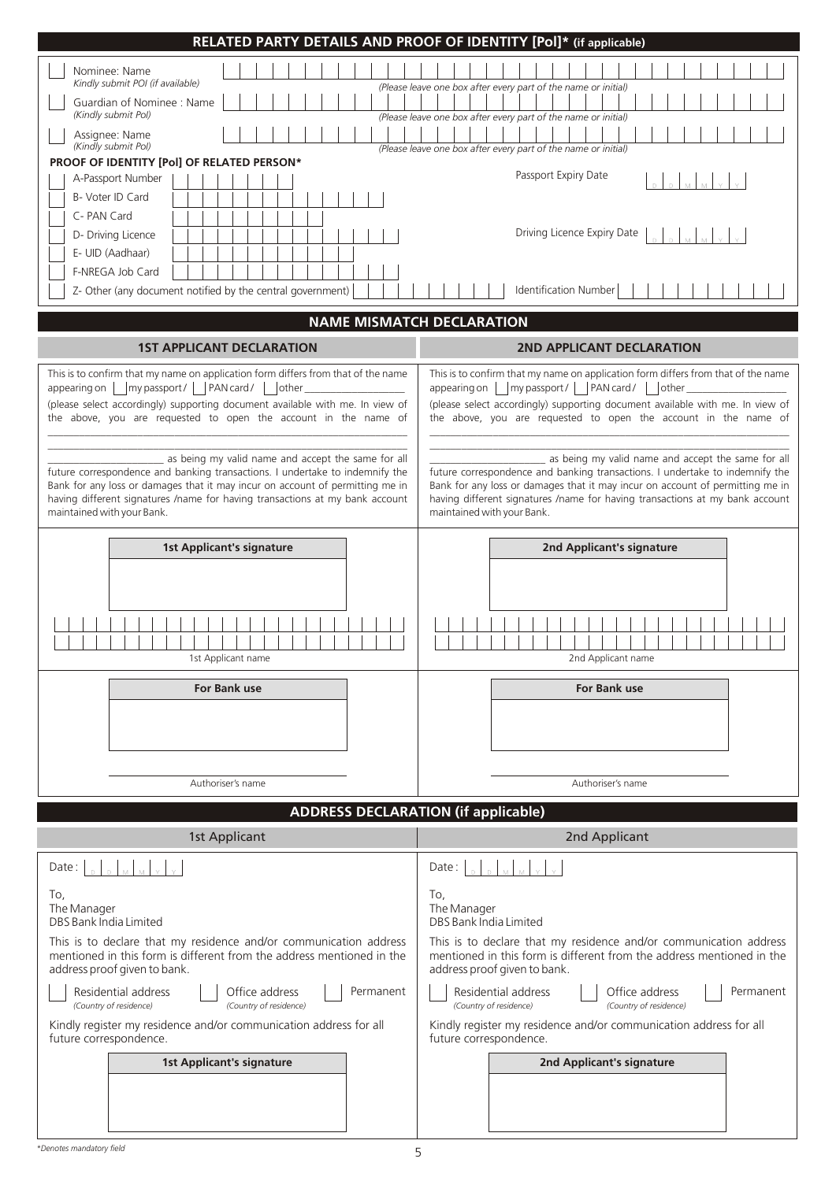| RELATED PARTY DETAILS AND PROOF OF IDENTITY [Pol]* (if applicable)                                                                                                         |                                                                                                                                                                            |  |  |  |
|----------------------------------------------------------------------------------------------------------------------------------------------------------------------------|----------------------------------------------------------------------------------------------------------------------------------------------------------------------------|--|--|--|
| Nominee: Name                                                                                                                                                              |                                                                                                                                                                            |  |  |  |
| Kindly submit POI (if available)<br>Guardian of Nominee : Name                                                                                                             | (Please leave one box after every part of the name or initial)                                                                                                             |  |  |  |
| (Kindly submit Pol)                                                                                                                                                        | (Please leave one box after every part of the name or initial)                                                                                                             |  |  |  |
| Assignee: Name<br>(Kindly submit Pol)                                                                                                                                      | (Please leave one box after every part of the name or initial)                                                                                                             |  |  |  |
| PROOF OF IDENTITY [Pol] OF RELATED PERSON*<br>A-Passport Number                                                                                                            | Passport Expiry Date                                                                                                                                                       |  |  |  |
| B- Voter ID Card                                                                                                                                                           |                                                                                                                                                                            |  |  |  |
| C- PAN Card                                                                                                                                                                |                                                                                                                                                                            |  |  |  |
| D- Driving Licence<br>E- UID (Aadhaar)                                                                                                                                     | Driving Licence Expiry Date                                                                                                                                                |  |  |  |
| F-NREGA Job Card                                                                                                                                                           |                                                                                                                                                                            |  |  |  |
| Z- Other (any document notified by the central government)                                                                                                                 | Identification Number                                                                                                                                                      |  |  |  |
| <b>NAME MISMATCH DECLARATION</b>                                                                                                                                           |                                                                                                                                                                            |  |  |  |
| <b>1ST APPLICANT DECLARATION</b>                                                                                                                                           | 2ND APPLICANT DECLARATION                                                                                                                                                  |  |  |  |
| This is to confirm that my name on application form differs from that of the name                                                                                          | This is to confirm that my name on application form differs from that of the name                                                                                          |  |  |  |
| my passport /     PAN card /     other<br>appearing on $\parallel$                                                                                                         | appearing on     my passport /     PAN card /     other _                                                                                                                  |  |  |  |
| (please select accordingly) supporting document available with me. In view of<br>the above, you are requested to open the account in the name of                           | (please select accordingly) supporting document available with me. In view of<br>the above, you are requested to open the account in the name of                           |  |  |  |
| as being my valid name and accept the same for all                                                                                                                         | as being my valid name and accept the same for all                                                                                                                         |  |  |  |
| future correspondence and banking transactions. I undertake to indemnify the                                                                                               | future correspondence and banking transactions. I undertake to indemnify the                                                                                               |  |  |  |
| Bank for any loss or damages that it may incur on account of permitting me in<br>having different signatures /name for having transactions at my bank account              | Bank for any loss or damages that it may incur on account of permitting me in<br>having different signatures /name for having transactions at my bank account              |  |  |  |
| maintained with your Bank.                                                                                                                                                 | maintained with your Bank.                                                                                                                                                 |  |  |  |
| <b>1st Applicant's signature</b>                                                                                                                                           | 2nd Applicant's signature                                                                                                                                                  |  |  |  |
|                                                                                                                                                                            |                                                                                                                                                                            |  |  |  |
|                                                                                                                                                                            |                                                                                                                                                                            |  |  |  |
|                                                                                                                                                                            |                                                                                                                                                                            |  |  |  |
|                                                                                                                                                                            |                                                                                                                                                                            |  |  |  |
| 1st Applicant name                                                                                                                                                         | 2nd Applicant name                                                                                                                                                         |  |  |  |
| For Bank use                                                                                                                                                               | <b>For Bank use</b>                                                                                                                                                        |  |  |  |
|                                                                                                                                                                            |                                                                                                                                                                            |  |  |  |
|                                                                                                                                                                            |                                                                                                                                                                            |  |  |  |
|                                                                                                                                                                            |                                                                                                                                                                            |  |  |  |
| Authoriser's name                                                                                                                                                          | Authoriser's name                                                                                                                                                          |  |  |  |
| <b>ADDRESS DECLARATION (if applicable)</b>                                                                                                                                 |                                                                                                                                                                            |  |  |  |
| 1st Applicant                                                                                                                                                              | 2nd Applicant                                                                                                                                                              |  |  |  |
| Date:                                                                                                                                                                      | Date:                                                                                                                                                                      |  |  |  |
| To,<br>The Manager                                                                                                                                                         | To,<br>The Manager                                                                                                                                                         |  |  |  |
| DBS Bank India Limited                                                                                                                                                     | DBS Bank India Limited                                                                                                                                                     |  |  |  |
| This is to declare that my residence and/or communication address<br>mentioned in this form is different from the address mentioned in the<br>address proof given to bank. | This is to declare that my residence and/or communication address<br>mentioned in this form is different from the address mentioned in the<br>address proof given to bank. |  |  |  |
| Residential address<br>Office address<br>Permanent<br>(Country of residence)<br>(Country of residence)                                                                     | Residential address<br>Office address<br>Permanent<br>(Country of residence)<br>(Country of residence)                                                                     |  |  |  |
| Kindly register my residence and/or communication address for all<br>future correspondence.                                                                                | Kindly register my residence and/or communication address for all<br>future correspondence.                                                                                |  |  |  |
| <b>1st Applicant's signature</b>                                                                                                                                           | 2nd Applicant's signature                                                                                                                                                  |  |  |  |
|                                                                                                                                                                            |                                                                                                                                                                            |  |  |  |
|                                                                                                                                                                            |                                                                                                                                                                            |  |  |  |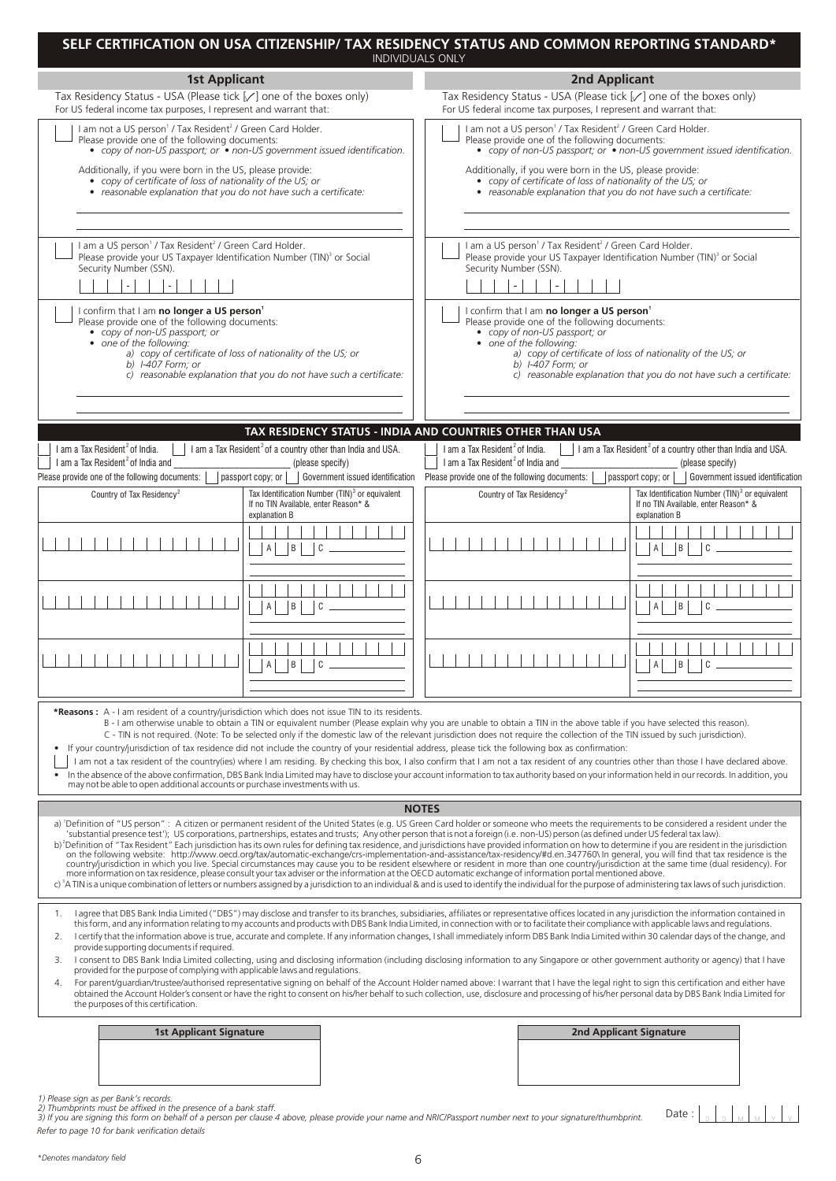|                                                                                                                                                                                                                                                                                                                                  | SELF CERTIFICATION ON USA CITIZENSHIP/ TAX RESIDENCY STATUS AND COMMON REPORTING STANDARD*<br><b>INDIVIDUALS ONLY</b>                                                                                                                                                                                                                                                                                                                                                                                                                                                                                                                                                                                                                                                                                                                                                                                                                                                                                                                                                                                                                                                                                                                                                                                                                                                                                  |                                                                                  |  |  |  |
|----------------------------------------------------------------------------------------------------------------------------------------------------------------------------------------------------------------------------------------------------------------------------------------------------------------------------------|--------------------------------------------------------------------------------------------------------------------------------------------------------------------------------------------------------------------------------------------------------------------------------------------------------------------------------------------------------------------------------------------------------------------------------------------------------------------------------------------------------------------------------------------------------------------------------------------------------------------------------------------------------------------------------------------------------------------------------------------------------------------------------------------------------------------------------------------------------------------------------------------------------------------------------------------------------------------------------------------------------------------------------------------------------------------------------------------------------------------------------------------------------------------------------------------------------------------------------------------------------------------------------------------------------------------------------------------------------------------------------------------------------|----------------------------------------------------------------------------------|--|--|--|
| <b>1st Applicant</b>                                                                                                                                                                                                                                                                                                             | <b>2nd Applicant</b>                                                                                                                                                                                                                                                                                                                                                                                                                                                                                                                                                                                                                                                                                                                                                                                                                                                                                                                                                                                                                                                                                                                                                                                                                                                                                                                                                                                   |                                                                                  |  |  |  |
| Tax Residency Status - USA (Please tick [√] one of the boxes only)<br>For US federal income tax purposes, I represent and warrant that:                                                                                                                                                                                          | Tax Residency Status - USA (Please tick [√] one of the boxes only)<br>For US federal income tax purposes, I represent and warrant that:                                                                                                                                                                                                                                                                                                                                                                                                                                                                                                                                                                                                                                                                                                                                                                                                                                                                                                                                                                                                                                                                                                                                                                                                                                                                |                                                                                  |  |  |  |
| I am not a US person <sup>1</sup> / Tax Resident <sup>2</sup> / Green Card Holder.<br>Please provide one of the following documents:<br>• copy of non-US passport; or $\bullet$ non-US government issued identification.                                                                                                         | I am not a US person <sup>1</sup> / Tax Resident <sup>2</sup> / Green Card Holder.<br>Please provide one of the following documents:                                                                                                                                                                                                                                                                                                                                                                                                                                                                                                                                                                                                                                                                                                                                                                                                                                                                                                                                                                                                                                                                                                                                                                                                                                                                   | • copy of non-US passport; or $\bullet$ non-US government issued identification. |  |  |  |
| Additionally, if you were born in the US, please provide:<br>• copy of certificate of loss of nationality of the US; or<br>• reasonable explanation that you do not have such a certificate:                                                                                                                                     | Additionally, if you were born in the US, please provide:<br>• copy of certificate of loss of nationality of the US; or<br>• reasonable explanation that you do not have such a certificate:                                                                                                                                                                                                                                                                                                                                                                                                                                                                                                                                                                                                                                                                                                                                                                                                                                                                                                                                                                                                                                                                                                                                                                                                           |                                                                                  |  |  |  |
| I am a US person <sup>1</sup> / Tax Resident <sup>2</sup> / Green Card Holder.<br>Please provide your US Taxpayer Identification Number (TIN) <sup>3</sup> or Social<br>Security Number (SSN).<br>$\overline{\phantom{a}}$                                                                                                       | I am a US person <sup>1</sup> / Tax Resident <sup>2</sup> / Green Card Holder.<br>Please provide your US Taxpayer Identification Number (TIN) <sup>3</sup> or Social<br>Security Number (SSN).                                                                                                                                                                                                                                                                                                                                                                                                                                                                                                                                                                                                                                                                                                                                                                                                                                                                                                                                                                                                                                                                                                                                                                                                         |                                                                                  |  |  |  |
| I confirm that I am no longer a US person <sup>1</sup><br>Please provide one of the following documents:<br>• copy of non-US passport; or<br>• one of the following:<br>a) copy of certificate of loss of nationality of the US; or<br>b) $1-407$ Form; or<br>c) reasonable explanation that you do not have such a certificate: | I confirm that I am no longer a US person <sup>1</sup><br>Please provide one of the following documents:<br>• copy of non-US passport; or<br>• one of the following:<br>a) copy of certificate of loss of nationality of the US; or<br>b) $1-407$ Form; or<br>c) reasonable explanation that you do not have such a certificate:                                                                                                                                                                                                                                                                                                                                                                                                                                                                                                                                                                                                                                                                                                                                                                                                                                                                                                                                                                                                                                                                       |                                                                                  |  |  |  |
|                                                                                                                                                                                                                                                                                                                                  | TAX RESIDENCY STATUS - INDIA AND COUNTRIES OTHER THAN USA                                                                                                                                                                                                                                                                                                                                                                                                                                                                                                                                                                                                                                                                                                                                                                                                                                                                                                                                                                                                                                                                                                                                                                                                                                                                                                                                              |                                                                                  |  |  |  |
| I am a Tax Resident <sup>2</sup> of a country other than India and USA.<br>I am a Tax Resident <sup>2</sup> of India.<br>I am a Tax Resident <sup>2</sup> of India and<br>(please specify)<br>Please provide one of the following documents:<br>passport copy; or                                                                | I am a Tax Resident <sup>2</sup> of India.<br>$\parallel$   1 am a Tax Resident <sup>2</sup> of a country other than India and USA.<br>I am a Tax Resident <sup>2</sup> of India and<br>(please specify)<br>Please provide one of the following documents:<br>passport copy; or<br>Government issued identification<br>Government issued identification                                                                                                                                                                                                                                                                                                                                                                                                                                                                                                                                                                                                                                                                                                                                                                                                                                                                                                                                                                                                                                                |                                                                                  |  |  |  |
| Tax Identification Number (TIN) <sup>3</sup> or equivalent<br>Country of Tax Residency <sup>2</sup><br>If no TIN Available, enter Reason* &<br>explanation B                                                                                                                                                                     | Tax Identification Number (TIN) <sup>3</sup> or equivalent<br>Country of Tax Residency <sup>2</sup><br>If no TIN Available, enter Reason* &<br>explanation B                                                                                                                                                                                                                                                                                                                                                                                                                                                                                                                                                                                                                                                                                                                                                                                                                                                                                                                                                                                                                                                                                                                                                                                                                                           |                                                                                  |  |  |  |
| ΙB I<br>C<br>$\mathsf{A}$                                                                                                                                                                                                                                                                                                        | B <br>$\mathsf{A}$                                                                                                                                                                                                                                                                                                                                                                                                                                                                                                                                                                                                                                                                                                                                                                                                                                                                                                                                                                                                                                                                                                                                                                                                                                                                                                                                                                                     |                                                                                  |  |  |  |
| $\mathsf{A}$<br>B<br>C                                                                                                                                                                                                                                                                                                           | B                                                                                                                                                                                                                                                                                                                                                                                                                                                                                                                                                                                                                                                                                                                                                                                                                                                                                                                                                                                                                                                                                                                                                                                                                                                                                                                                                                                                      |                                                                                  |  |  |  |
| $\mathsf{A}$<br>l B I<br>C                                                                                                                                                                                                                                                                                                       | $\overline{A}$<br> B <br>C                                                                                                                                                                                                                                                                                                                                                                                                                                                                                                                                                                                                                                                                                                                                                                                                                                                                                                                                                                                                                                                                                                                                                                                                                                                                                                                                                                             |                                                                                  |  |  |  |
| *Reasons: A - I am resident of a country/jurisdiction which does not issue TIN to its residents.<br>may not be able to open additional accounts or purchase investments with us.                                                                                                                                                 | B - I am otherwise unable to obtain a TIN or equivalent number (Please explain why you are unable to obtain a TIN in the above table if you have selected this reason).<br>C - TIN is not required. (Note: To be selected only if the domestic law of the relevant jurisdiction does not require the collection of the TIN issued by such jurisdiction).<br>If your country/jurisdiction of tax residence did not include the country of your residential address, please tick the following box as confirmation:<br>I am not a tax resident of the country(ies) where I am residing. By checking this box, I also confirm that I am not a tax resident of any countries other than those I have declared above.<br>In the absence of the above confirmation, DBS Bank India Limited may have to disclose your account information to tax authority based on your information held in our records. In addition, you                                                                                                                                                                                                                                                                                                                                                                                                                                                                                    |                                                                                  |  |  |  |
|                                                                                                                                                                                                                                                                                                                                  | <b>NOTES</b>                                                                                                                                                                                                                                                                                                                                                                                                                                                                                                                                                                                                                                                                                                                                                                                                                                                                                                                                                                                                                                                                                                                                                                                                                                                                                                                                                                                           |                                                                                  |  |  |  |
|                                                                                                                                                                                                                                                                                                                                  | a) 'Definition of "US person": A citizen or permanent resident of the United States (e.g. US Green Card holder or someone who meets the requirements to be considered a resident under the<br>substantial presence test"); US corporations, partnerships, estates and trusts; Any other person that is not a foreign (i.e. non-US) person (as defined under US federal tax law).<br>b) <sup>2</sup> Definition of "Tax Resident" Each jurisdiction has its own rules for defining tax residence, and jurisdictions have provided information on how to determine if you are resident in the jurisdiction<br>on the following website: http://www.oecd.org/tax/automatic-exchange/crs-implementation-and-assistance/tax-residency/#d.en.347760\ In general, you will find that tax residence is the<br>country/jurisdiction in which you live. Special circumstances may cause you to be resident elsewhere or resident in more than one country/jurisdiction at the same time (dual residency). For<br>example, the contraction on tax residence, please consult your tax adviser or the information at the OECD automatic exchange of information portal mentioned above.<br>c) <sup>3</sup> A TIN is a unique combination of letters or numbers assigned by a jurisdiction to an individual & and is used to identify the individual for the purpose of administering tax laws of such jurisdiction. |                                                                                  |  |  |  |
| 1.<br>2.<br>provide supporting documents if required.<br>provided for the purpose of complying with applicable laws and regulations.<br>4.<br>the purposes of this certification.                                                                                                                                                | I agree that DBS Bank India Limited ("DBS") may disclose and transfer to its branches, subsidiaries, affiliates or representative offices located in any jurisdiction the information contained in<br>this form, and any information relating to my accounts and products with DBS Bank India Limited, in connection with or to facilitate their compliance with applicable laws and regulations.<br>I certify that the information above is true, accurate and complete. If any information changes, I shall immediately inform DBS Bank India Limited within 30 calendar days of the change, and<br>3. I consent to DBS Bank India Limited collecting, using and disclosing information (including disclosing information to any Singapore or other government authority or agency) that I have<br>For parent/guardian/trustee/authorised representative signing on behalf of the Account Holder named above: I warrant that I have the legal right to sign this certification and either have<br>obtained the Account Holder's consent or have the right to consent on his/her behalf to such collection, use, disclosure and processing of his/her personal data by DBS Bank India Limited for                                                                                                                                                                                                     |                                                                                  |  |  |  |
| <b>1st Applicant Signature</b>                                                                                                                                                                                                                                                                                                   | <b>2nd Applicant Signature</b>                                                                                                                                                                                                                                                                                                                                                                                                                                                                                                                                                                                                                                                                                                                                                                                                                                                                                                                                                                                                                                                                                                                                                                                                                                                                                                                                                                         |                                                                                  |  |  |  |
|                                                                                                                                                                                                                                                                                                                                  |                                                                                                                                                                                                                                                                                                                                                                                                                                                                                                                                                                                                                                                                                                                                                                                                                                                                                                                                                                                                                                                                                                                                                                                                                                                                                                                                                                                                        |                                                                                  |  |  |  |
| 1) Please sign as per Bank's records.<br>2) Thumbprints must be affixed in the presence of a bank staff.<br>3) If you are signing this form on behalf of a person per clause 4 above, please provide your name and NRIC/Passport number next to your signature/thumbprint.<br>Refer to page 10 for bank verification details     | Date:                                                                                                                                                                                                                                                                                                                                                                                                                                                                                                                                                                                                                                                                                                                                                                                                                                                                                                                                                                                                                                                                                                                                                                                                                                                                                                                                                                                                  |                                                                                  |  |  |  |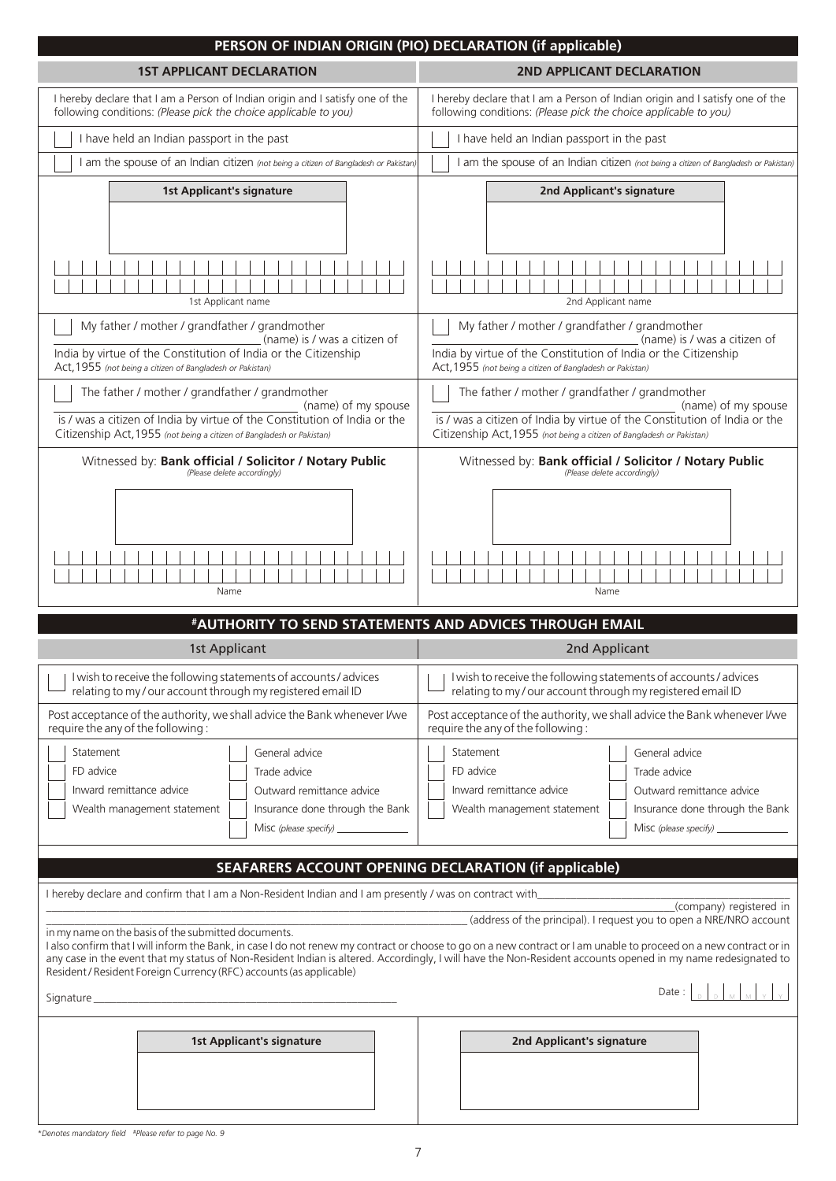| PERSON OF INDIAN ORIGIN (PIO) DECLARATION (if applicable)                                                                                                                                                                                                                                                                                                                                                                                                                                                                                                                  |                                                                                                                                                                                                                              |  |  |  |
|----------------------------------------------------------------------------------------------------------------------------------------------------------------------------------------------------------------------------------------------------------------------------------------------------------------------------------------------------------------------------------------------------------------------------------------------------------------------------------------------------------------------------------------------------------------------------|------------------------------------------------------------------------------------------------------------------------------------------------------------------------------------------------------------------------------|--|--|--|
| <b>1ST APPLICANT DECLARATION</b>                                                                                                                                                                                                                                                                                                                                                                                                                                                                                                                                           | 2ND APPLICANT DECLARATION                                                                                                                                                                                                    |  |  |  |
| I hereby declare that I am a Person of Indian origin and I satisfy one of the<br>following conditions: (Please pick the choice applicable to you)                                                                                                                                                                                                                                                                                                                                                                                                                          | I hereby declare that I am a Person of Indian origin and I satisfy one of the<br>following conditions: (Please pick the choice applicable to you)                                                                            |  |  |  |
| I have held an Indian passport in the past                                                                                                                                                                                                                                                                                                                                                                                                                                                                                                                                 | I have held an Indian passport in the past                                                                                                                                                                                   |  |  |  |
| I am the spouse of an Indian citizen (not being a citizen of Bangladesh or Pakistan)                                                                                                                                                                                                                                                                                                                                                                                                                                                                                       | I am the spouse of an Indian citizen (not being a citizen of Bangladesh or Pakistan)                                                                                                                                         |  |  |  |
| <b>1st Applicant's signature</b>                                                                                                                                                                                                                                                                                                                                                                                                                                                                                                                                           | 2nd Applicant's signature                                                                                                                                                                                                    |  |  |  |
| 1st Applicant name<br>My father / mother / grandfather / grandmother                                                                                                                                                                                                                                                                                                                                                                                                                                                                                                       | 2nd Applicant name<br>My father / mother / grandfather / grandmother                                                                                                                                                         |  |  |  |
| (name) is / was a citizen of<br>India by virtue of the Constitution of India or the Citizenship<br>Act, 1955 (not being a citizen of Bangladesh or Pakistan)                                                                                                                                                                                                                                                                                                                                                                                                               | (name) is / was a citizen of<br>India by virtue of the Constitution of India or the Citizenship<br>Act, 1955 (not being a citizen of Bangladesh or Pakistan)                                                                 |  |  |  |
| The father / mother / grandfather / grandmother<br>(name) of my spouse<br>is / was a citizen of India by virtue of the Constitution of India or the<br>Citizenship Act, 1955 (not being a citizen of Bangladesh or Pakistan)                                                                                                                                                                                                                                                                                                                                               | The father / mother / grandfather / grandmother<br>(name) of my spouse<br>is / was a citizen of India by virtue of the Constitution of India or the<br>Citizenship Act, 1955 (not being a citizen of Bangladesh or Pakistan) |  |  |  |
| Witnessed by: Bank official / Solicitor / Notary Public<br>(Please delete accordingly)                                                                                                                                                                                                                                                                                                                                                                                                                                                                                     | Witnessed by: Bank official / Solicitor / Notary Public<br>(Please delete accordingly)<br>Name                                                                                                                               |  |  |  |
| Name                                                                                                                                                                                                                                                                                                                                                                                                                                                                                                                                                                       |                                                                                                                                                                                                                              |  |  |  |
| #AUTHORITY TO SEND STATEMENTS AND ADVICES THROUGH EMAIL                                                                                                                                                                                                                                                                                                                                                                                                                                                                                                                    |                                                                                                                                                                                                                              |  |  |  |
| 1st Applicant                                                                                                                                                                                                                                                                                                                                                                                                                                                                                                                                                              | 2nd Applicant                                                                                                                                                                                                                |  |  |  |
| I wish to receive the following statements of accounts / advices<br>relating to my/our account through my registered email ID                                                                                                                                                                                                                                                                                                                                                                                                                                              | I wish to receive the following statements of accounts / advices<br>relating to my/our account through my registered email ID                                                                                                |  |  |  |
| Post acceptance of the authority, we shall advice the Bank whenever I/we<br>require the any of the following:                                                                                                                                                                                                                                                                                                                                                                                                                                                              | Post acceptance of the authority, we shall advice the Bank whenever I/we<br>require the any of the following:                                                                                                                |  |  |  |
| Statement<br>General advice<br>FD advice<br>Trade advice<br>Inward remittance advice<br>Outward remittance advice<br>Wealth management statement<br>Insurance done through the Bank<br>Misc (please specify) _______________                                                                                                                                                                                                                                                                                                                                               | Statement<br>General advice<br>FD advice<br>Trade advice<br>Inward remittance advice<br>Outward remittance advice<br>Wealth management statement<br>Insurance done through the Bank<br>Misc (please specify) _______________ |  |  |  |
| SEAFARERS ACCOUNT OPENING DECLARATION (if applicable)                                                                                                                                                                                                                                                                                                                                                                                                                                                                                                                      |                                                                                                                                                                                                                              |  |  |  |
| I hereby declare and confirm that I am a Non-Resident Indian and I am presently / was on contract with<br>in my name on the basis of the submitted documents.<br>I also confirm that I will inform the Bank, in case I do not renew my contract or choose to go on a new contract or I am unable to proceed on a new contract or in<br>any case in the event that my status of Non-Resident Indian is altered. Accordingly, I will have the Non-Resident accounts opened in my name redesignated to<br>Resident / Resident Foreign Currency (RFC) accounts (as applicable) | (company) registered in<br>(address of the principal). I request you to open a NRE/NRO account<br>Date:                                                                                                                      |  |  |  |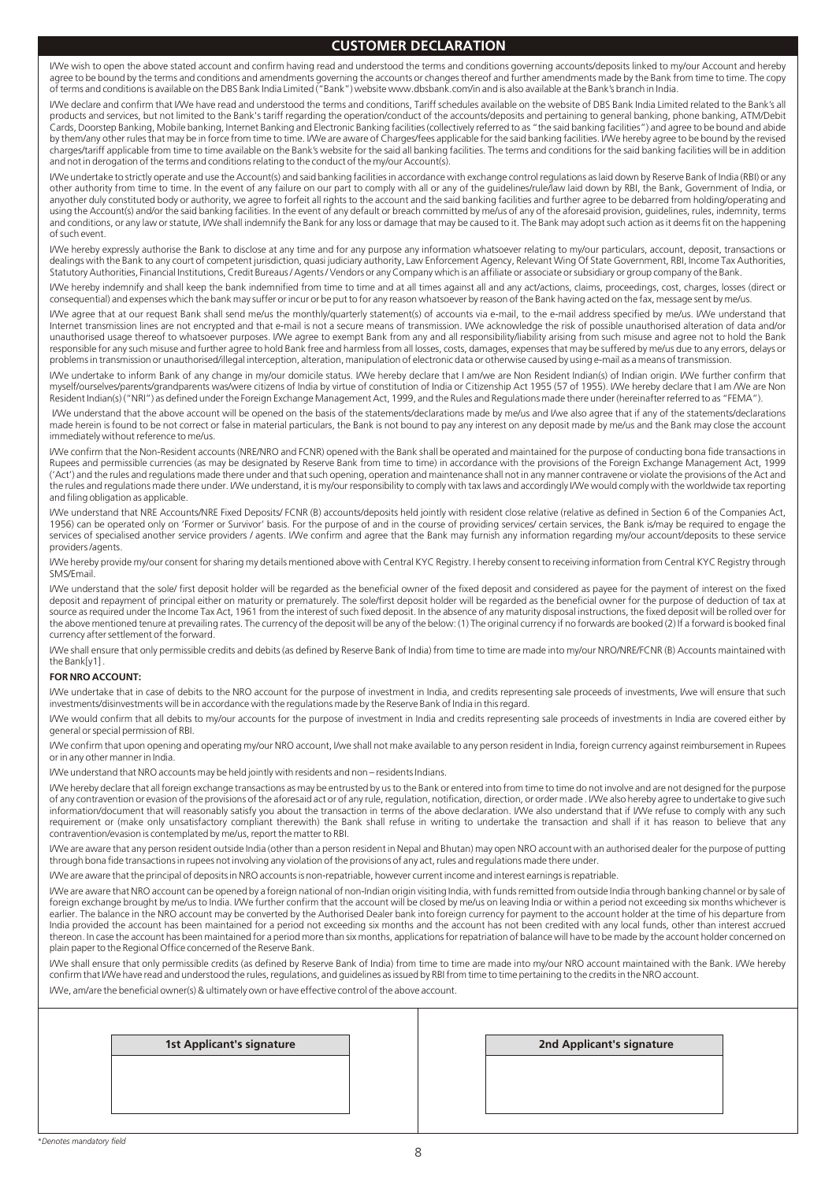### **CUSTOMER DECLARATION**

I/We wish to open the above stated account and confirm having read and understood the terms and conditions governing accounts/deposits linked to my/our Account and hereby agree to be bound by the terms and conditions and amendments governing the accounts or changes thereof and further amendments made by the Bank from time to time. The copy of terms and conditions is available on the DBS Bank India Limited ("Bank") website www.dbsbank.com/in and is also available at the Bank's branch in India.

I/We declare and confirm that I/We have read and understood the terms and conditions, Tariff schedules available on the website of DBS Bank India Limited related to the Bank's all products and services, but not limited to the Bank's tariff regarding the operation/conduct of the accounts/deposits and pertaining to general banking, phone banking, ATM/Debit Cards, Doorstep Banking, Mobile banking, Internet Banking and Electronic Banking facilities (collectively referred to as "the said banking facilities") and agree to be bound and abide by them/any other rules that may be in force from time to time. I/We are aware of Charges/fees applicable for the said banking facilities. I/We hereby agree to be bound by the revised charges/tariff applicable from time to time available on the Bank's website for the said all banking facilities. The terms and conditions for the said banking facilities will be in addition and not in derogation of the terms and conditions relating to the conduct of the my/our Account(s).

I/We undertake to strictly operate and use the Account(s) and said banking facilities in accordance with exchange control regulations as laid down by Reserve Bank of India (RBI) or any other authority from time to time. In the event of any failure on our part to comply with all or any of the guidelines/rule/law laid down by RBI, the Bank, Government of India, or anyother duly constituted body or authority, we agree to forfeit all rights to the account and the said banking facilities and further agree to be debarred from holding/operating and using the Account(s) and/or the said banking facilities. In the event of any default or breach committed by me/us of any of the aforesaid provision, guidelines, rules, indemnity, terms and conditions, or any law or statute, I/We shall indemnify the Bank for any loss or damage that may be caused to it. The Bank may adopt such action as it deems fit on the happening of such event.

I/We hereby expressly authorise the Bank to disclose at any time and for any purpose any information whatsoever relating to my/our particulars, account, deposit, transactions or dealings with the Bank to any court of competent jurisdiction, quasi judiciary authority, Law Enforcement Agency, Relevant Wing Of State Government, RBI, Income Tax Authorities, Statutory Authorities, Financial Institutions, Credit Bureaus / Agents / Vendors or any Company which is an affiliate or associate or subsidiary or group company of the Bank.

I/We hereby indemnify and shall keep the bank indemnified from time to time and at all times against all and any act/actions, claims, proceedings, cost, charges, losses (direct or consequential) and expenses which the bank may suffer or incur or be put to for any reason whatsoever by reason of the Bank having acted on the fax, message sent by me/us.

I/We agree that at our request Bank shall send me/us the monthly/quarterly statement(s) of accounts via e-mail, to the e-mail address specified by me/us. I/We understand that Internet transmission lines are not encrypted and that e-mail is not a secure means of transmission. I/We acknowledge the risk of possible unauthorised alteration of data and/or unauthorised usage thereof to whatsoever purposes. I/We agree to exempt Bank from any and all responsibility/liability arising from such misuse and agree not to hold the Bank responsible for any such misuse and further agree to hold Bank free and harmless from all losses, costs, damages, expenses that may be suffered by me/us due to any errors, delays or problems in transmission or unauthorised/illegal interception, alteration, manipulation of electronic data or otherwise caused by using e-mail as a means of transmission.

I/We undertake to inform Bank of any change in my/our domicile status. I/We hereby declare that I am/we are Non Resident Indian(s) of Indian origin. I/We further confirm that myself/ourselves/parents/grandparents was/were citizens of India by virtue of constitution of India or Citizenship Act 1955 (57 of 1955). I/We hereby declare that I am /We are Non Resident Indian(s) ("NRI") as defined under the Foreign Exchange Management Act, 1999, and the Rules and Regulations made there under (hereinafter referred to as "FEMA").

I/We understand that the above account will be opened on the basis of the statements/declarations made by me/us and I/we also agree that if any of the statements/declarations made herein is found to be not correct or false in material particulars, the Bank is not bound to pay any interest on any deposit made by me/us and the Bank may close the account immediately without reference to me/us.

I/We confirm that the Non-Resident accounts (NRE/NRO and FCNR) opened with the Bank shall be operated and maintained for the purpose of conducting bona fide transactions in Rupees and permissible currencies (as may be designated by Reserve Bank from time to time) in accordance with the provisions of the Foreign Exchange Management Act, 1999 ('Act') and the rules and regulations made there under and that such opening, operation and maintenance shall not in any manner contravene or violate the provisions of the Act and the rules and regulations made there under. I/We understand, it is my/our responsibility to comply with tax laws and accordingly I/We would comply with the worldwide tax reporting and filing obligation as applicable.

I/We understand that NRE Accounts/NRE Fixed Deposits/ FCNR (B) accounts/deposits held jointly with resident close relative (relative as defined in Section 6 of the Companies Act, 1956) can be operated only on 'Former or Survivor' basis. For the purpose of and in the course of providing services/ certain services, the Bank is/may be required to engage the services of specialised another service providers / agents. I/We confirm and agree that the Bank may furnish any information regarding my/our account/deposits to these service providers /agents.

I/We hereby provide my/our consent for sharing my details mentioned above with Central KYC Registry. I hereby consent to receiving information from Central KYC Registry through SMS/Email.

I/We understand that the sole/ first deposit holder will be regarded as the beneficial owner of the fixed deposit and considered as payee for the payment of interest on the fixed deposit and repayment of principal either on maturity or prematurely. The sole/first deposit holder will be regarded as the beneficial owner for the purpose of deduction of tax at source as required under the Income Tax Act, 1961 from the interest of such fixed deposit. In the absence of any maturity disposal instructions, the fixed deposit will be rolled over for the above mentioned tenure at prevailing rates. The currency of the deposit will be any of the below: (1) The original currency if no forwards are booked (2) If a forward is booked final currency after settlement of the forward.

I/We shall ensure that only permissible credits and debits (as defined by Reserve Bank of India) from time to time are made into my/our NRO/NRE/FCNR (B) Accounts maintained with the Bank[y1] .

#### **FOR NRO ACCOUNT:**

I/We undertake that in case of debits to the NRO account for the purpose of investment in India, and credits representing sale proceeds of investments, I/we will ensure that such investments/disinvestments will be in accordance with the regulations made by the Reserve Bank of India in this regard.

I/We would confirm that all debits to my/our accounts for the purpose of investment in India and credits representing sale proceeds of investments in India are covered either by general or special permission of RBI.

I/We confirm that upon opening and operating my/our NRO account, I/we shall not make available to any person resident in India, foreign currency against reimbursement in Rupees or in any other manner in India.

I/We understand that NRO accounts may be held jointly with residents and non – residents Indians.

I/We hereby declare that all foreign exchange transactions as may be entrusted by us to the Bank or entered into from time to time do not involve and are not designed for the purpose of any contravention or evasion of the provisions of the aforesaid act or of any rule, regulation, notification, direction, or order made . I/We also hereby agree to undertake to give such information/document that will reasonably satisfy you about the transaction in terms of the above declaration. I/We also understand that if I/We refuse to comply with any such requirement or (make only unsatisfactory compliant therewith) the Bank shall refuse in writing to undertake the transaction and shall if it has reason to believe that any contravention/evasion is contemplated by me/us, report the matter to RBI.

I/We are aware that any person resident outside India (other than a person resident in Nepal and Bhutan) may open NRO account with an authorised dealer for the purpose of putting through bona fide transactions in rupees not involving any violation of the provisions of any act, rules and regulations made there under.

I/We are aware that the principal of deposits in NRO accounts is non-repatriable, however current income and interest earnings is repatriable.

I/We are aware that NRO account can be opened by a foreign national of non-Indian origin visiting India, with funds remitted from outside India through banking channel or by sale of foreign exchange brought by me/us to India. I/We further confirm that the account will be closed by me/us on leaving India or within a period not exceeding six months whichever is earlier. The balance in the NRO account may be converted by the Authorised Dealer bank into foreign currency for payment to the account holder at the time of his departure from India provided the account has been maintained for a period not exceeding six months and the account has not been credited with any local funds, other than interest accrued thereon. In case the account has been maintained for a period more than six months, applications for repatriation of balance will have to be made by the account holder concerned on plain paper to the Regional Office concerned of the Reserve Bank.

I/We shall ensure that only permissible credits (as defined by Reserve Bank of India) from time to time are made into my/our NRO account maintained with the Bank. I/We hereby confirm that I/We have read and understood the rules, regulations, and guidelines as issued by RBI from time to time pertaining to the credits in the NRO account.

I/We, am/are the beneficial owner(s) & ultimately own or have effective control of the above account.

**1st Applicant's signature 2nd Applicant's signature**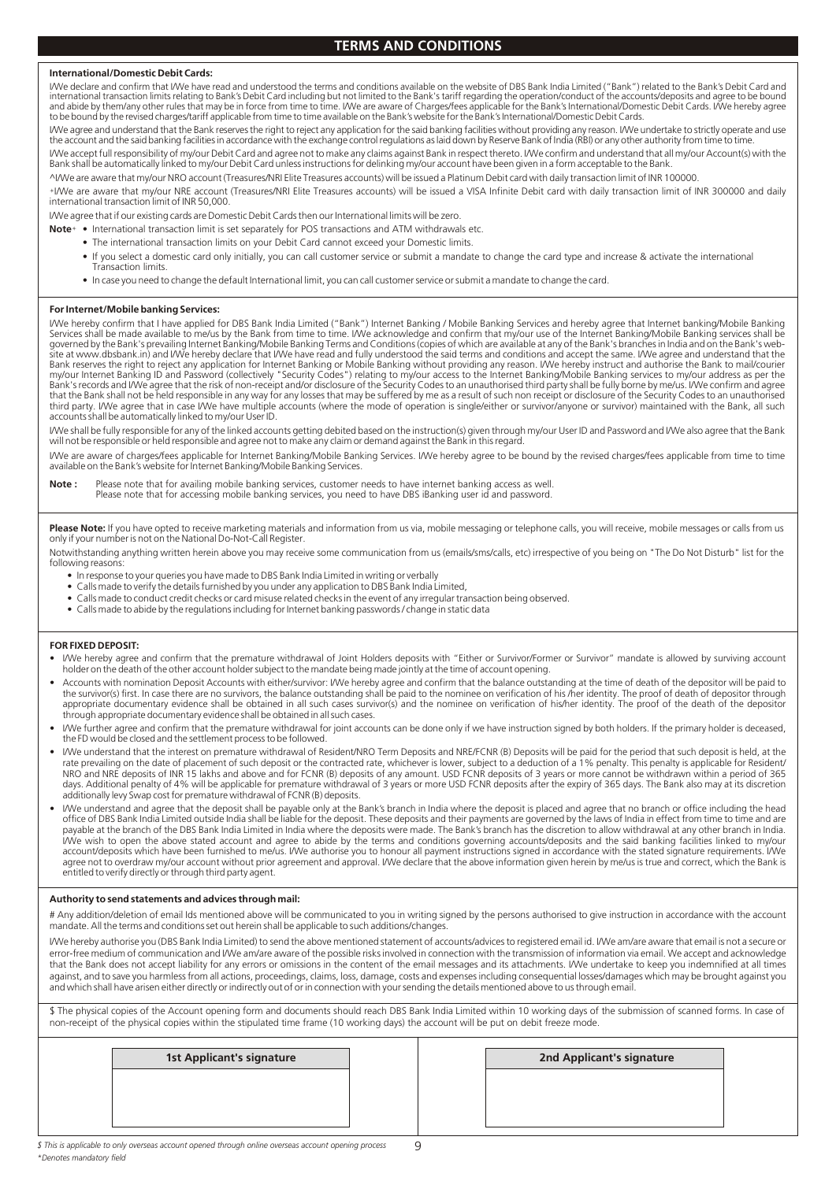#### **International/Domestic Debit Cards:**

I/We declare and confirm that I/We have read and understood the terms and conditions available on the website of DBS Bank India Limited ("Bank") related to the Bank's Debit Card and international transaction limits relating to Bank's Debit Card including but not limited to the Bank's tariff regarding the operation/conduct of the accounts/deposits and agree to be bound<br>and abide by them/any other rules to be bound by the revised charges/tariff applicable from time to time available on the Bank's website for the Bank's International/Domestic Debit Cards.

I/We agree and understand that the Bank reserves the right to reject any application for the said banking facilities without providing any reason. I/We undertake to strictly operate and use the account and the said banking facilities in accordance with the exchange control regulations as laid down by Reserve Bank of India (RBI) or any other authority from time to time.

I/We accept full responsibility of my/our Debit Card and agree not to make any claims against Bank in respect thereto. I/We confirm and understand that all my/our Account(s) with the<br>Bank shall be automatically linked to m

^I/We are aware that my/our NRO account (Treasures/NRI Elite Treasures accounts) will be issued a Platinum Debit card with daily transaction limit of INR 100000.<br>+I/We are aware that my/our NRE account (Treasures/NRI Elite international transaction limit of INR 50,000.

I/We agree that if our existing cards are Domestic Debit Cards then our International limits will be zero.<br>Notet • International transaction limit is set senarately for POS transactions and ATM withdrawal

- **Note** International transaction limit is set separately for POS transactions and ATM withdrawals etc.
	- The international transaction limits on your Debit Card cannot exceed your Domestic limits.
	- If you select a domestic card only initially, you can call customer service or submit a mandate to change the card type and increase & activate the international Transaction limits.
	- In case you need to change the default International limit, you can call customer service or submit a mandate to change the card.

#### **For Internet/Mobile banking Services:**

I/We hereby confirm that I have applied for DBS Bank India Limited ("Bank") Internet Banking / Mobile Banking Services and hereby agree that Internet banking/Mobile Banking Services shall be made available to me/us by the Bank from time to time. I/We acknowledge and confirm that my/our use of the Internet Banking/Mobile Banking services shall be governed by the Bank's prevailing Internet Banking/Mobile Banking Terms and Conditions (copies of which are available at any of the Bank's branches in India and on the Bank's web-<br>site at www.dbsbank.in) and I/We hereby de that the Bank shall not be held responsible in any way for any losses that may be suffered by me as a result of such non receipt or disclosure of the Security Codes to an unauthorised<br>third party. I/We agree that in case I accounts shall be automatically linked to my/our User ID.

I/We shall be fully responsible for any of the linked accounts getting debited based on the instruction(s) given through my/our User ID and Password and I/We also agree that the Bank<br>will not be responsible or held respons

I/We are aware of charges/fees applicable for Internet Banking/Mobile Banking Services. I/We hereby agree to be bound by the revised charges/fees applicable from time to time available on the Bank's website for Internet Banking/Mobile Banking Services.

**Note :** Please note that for availing mobile banking services, customer needs to have internet banking access as well. Please note that for accessing mobile banking services, you need to have DBS iBanking user id and password.

Please Note: If you have opted to receive marketing materials and information from us via, mobile messaging or telephone calls, you will receive, mobile messages or calls from us only if your number is not on the National Do-Not-Call Register.

Notwithstanding anything written herein above you may receive some communication from us (emails/sms/calls, etc) irrespective of you being on "The Do Not Disturb" list for the following reasons:

- In response to your queries you have made to DBS Bank India Limited in writing or verbally
- Calls made to verify the details furnished by you under any application to DBS Bank India Limited,
- Calls made to conduct credit checks or card misuse related checks in the event of any irregular transaction being observed.
- Calls made to abide by the regulations including for Internet banking passwords / change in static data

#### **FOR FIXED DEPOSIT:**

- I/We hereby agree and confirm that the premature withdrawal of Joint Holders deposits with "Either or Survivor/Former or Survivor" mandate is allowed by surviving account holder on the death of the other account holder subject to the mandate being made jointly at the time of account opening.
- Accounts with nomination Deposit Accounts with either/survivor: I/We hereby agree and confirm that the balance outstanding at the time of death of the depositor will be paid to the survivor(s) first. In case there are no survivors, the balance outstanding shall be paid to the nominee on verification of his /her identity. The proof of death of depositor through<br>appropriate documentary evidence sha through appropriate documentary evidence shall be obtained in all such cases.
- I/We further agree and confirm that the premature withdrawal for joint accounts can be done only if we have instruction signed by both holders. If the primary holder is deceased, the FD would be closed and the settlement process to be followed.
- I/We understand that the interest on premature withdrawal of Resident/NRO Term Deposits and NRE/FCNR (B) Deposits will be paid for the period that such deposit is held, at the rate prevailing on the date of placement of such deposit or the contracted rate, whichever is lower, subject to a deduction of a 1% penalty. This penalty is applicable for Resident/<br>NRO and NRE deposits of INR 15 lakhs and additionally levy Swap cost for premature withdrawal of FCNR (B) deposits.
- Me understand and agree that the deposit shall be payable only at the Bank's branch in India where the deposit is placed and agree that no branch or office including the head (We understand and their payments are governed payable at the branch of the DBS Bank India Limited in India where the deposits were made. The Bank's branch has the discretion to allow withdrawal at any other branch in India. I/We wish to open the above stated account and agree to abide by the terms and conditions governing accounts/deposits and the said banking facilities linked to my/our<br>account/deposits which have been furnished to me/us. I/ agree not to overdraw my/our account without prior agreement and approval. I/We declare that the above information given herein by me/us is true and correct, which the Bank is entitled to verify directly or through third party agent.

#### **Authority to send statements and advices through mail:**

# Any addition/deletion of email Ids mentioned above will be communicated to you in writing signed by the persons authorised to give instruction in accordance with the account mandate. All the terms and conditions set out herein shall be applicable to such additions/changes.

I/We hereby authorise you (DBS Bank India Limited) to send the above mentioned statement of accounts/advices to registered email id. I/We am/are aware that email is not a secure or error-free medium of communication and I/We am/are aware of the possible risks involved in connection with the transmission of information via email. We accept and acknowledge that the Bank does not accept liability for any errors or omissions in the content of the email messages and its attachments. I/We undertake to keep you indemnified at all times against, and to save you harmless from all actions, proceedings, claims, loss, damage, costs and expenses including consequential losses/damages which may be brought against you and which shall have arisen either directly or indirectly out of or in connection with your sending the details mentioned above to us through email.

\$ The physical copies of the Account opening form and documents should reach DBS Bank India Limited within 10 working days of the submission of scanned forms. In case of non-receipt of the physical copies within the stipulated time frame (10 working days) the account will be put on debit freeze mode.

| <b>1st Applicant's signature</b> | 2nd Applicant's signature |  |
|----------------------------------|---------------------------|--|
|                                  |                           |  |
|                                  |                           |  |
|                                  |                           |  |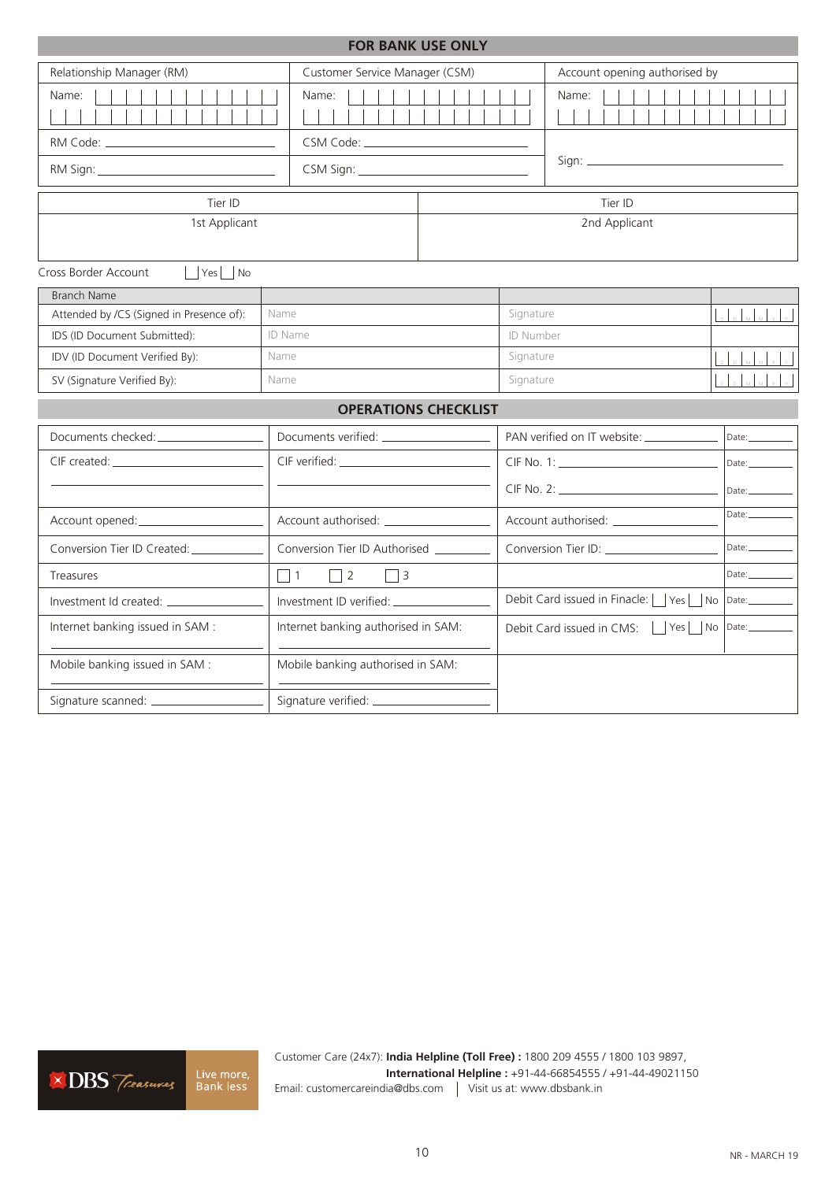| <b>FOR BANK USE ONLY</b>                                                                                                                                                                                                       |                                        |           |                                                          |          |  |  |
|--------------------------------------------------------------------------------------------------------------------------------------------------------------------------------------------------------------------------------|----------------------------------------|-----------|----------------------------------------------------------|----------|--|--|
| Relationship Manager (RM)                                                                                                                                                                                                      | Customer Service Manager (CSM)         |           | Account opening authorised by                            |          |  |  |
| Name:                                                                                                                                                                                                                          | Name:                                  |           | Name:                                                    |          |  |  |
|                                                                                                                                                                                                                                |                                        |           |                                                          |          |  |  |
|                                                                                                                                                                                                                                |                                        |           |                                                          |          |  |  |
| Tier ID                                                                                                                                                                                                                        |                                        |           | Tier ID                                                  |          |  |  |
| 1st Applicant                                                                                                                                                                                                                  |                                        |           | 2nd Applicant                                            |          |  |  |
| $ $   Yes     No<br>Cross Border Account                                                                                                                                                                                       |                                        |           |                                                          |          |  |  |
| <b>Branch Name</b>                                                                                                                                                                                                             |                                        |           |                                                          |          |  |  |
| Attended by /CS (Signed in Presence of):                                                                                                                                                                                       | Name                                   | Signature |                                                          |          |  |  |
| IDS (ID Document Submitted):                                                                                                                                                                                                   | ID Name                                |           | ID Number                                                |          |  |  |
| IDV (ID Document Verified By):                                                                                                                                                                                                 | Name                                   |           | Signature                                                |          |  |  |
| SV (Signature Verified By):                                                                                                                                                                                                    | Name                                   |           | Signature                                                |          |  |  |
|                                                                                                                                                                                                                                | <b>OPERATIONS CHECKLIST</b>            |           |                                                          |          |  |  |
| Documents checked: ________________                                                                                                                                                                                            |                                        |           | PAN verified on IT website: ____________                 | Date:    |  |  |
| CIF created: The contract of the contract of the contract of the contract of the contract of the contract of the contract of the contract of the contract of the contract of the contract of the contract of the contract of t |                                        |           |                                                          |          |  |  |
|                                                                                                                                                                                                                                |                                        |           |                                                          |          |  |  |
|                                                                                                                                                                                                                                |                                        |           | Account authorised: ______________                       | Date:    |  |  |
| Conversion Tier ID Created: _________                                                                                                                                                                                          | Conversion Tier ID Authorised ________ |           | Conversion Tier ID: _______________                      |          |  |  |
| $\Box$ 1<br>$\Box$ 2<br>Treasures<br>$\vert$   3                                                                                                                                                                               |                                        |           |                                                          | Date:    |  |  |
|                                                                                                                                                                                                                                | Investment ID verified: _____________  |           | Debit Card issued in Finacle:     Yes    <br>Date:<br>No |          |  |  |
| Internet banking issued in SAM :                                                                                                                                                                                               | Internet banking authorised in SAM:    |           | Debit Card issued in CMS:<br>Yes                         | No Date: |  |  |
| Mobile banking issued in SAM :<br>Mobile banking authorised in SAM:                                                                                                                                                            |                                        |           |                                                          |          |  |  |
|                                                                                                                                                                                                                                |                                        |           |                                                          |          |  |  |



Customer Care (24x7): **India Helpline (Toll Free) :** 1800 209 4555 / 1800 103 9897, **International Helpline :** +91-44-66854555 / +91-44-49021150 Email: customercareindia@dbs.com | Visit us at: www.dbsbank.in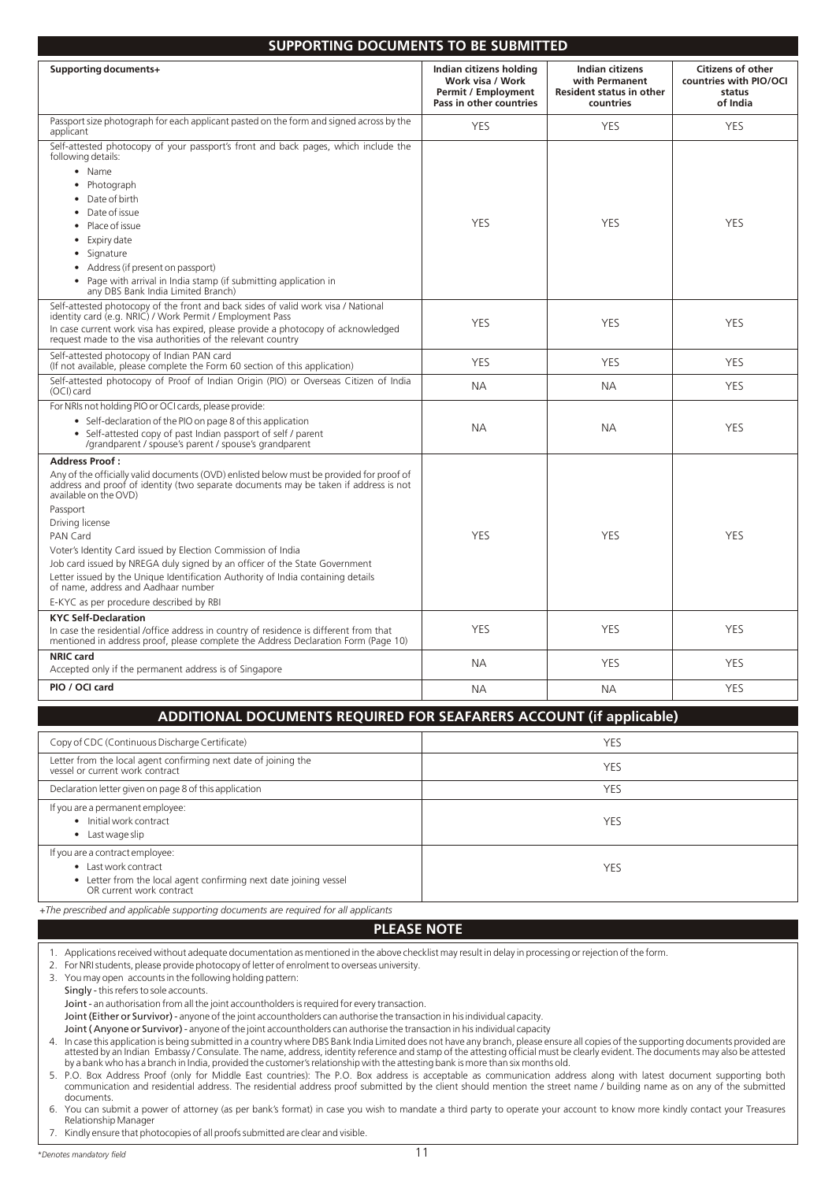| <b>SUPPORTING DOCUMENTS TO BE SUBMITTED</b>                                                                                                                                                                                                                                                                                                                                                                                                                                                                                                                                                       |                                                                                                      |                                                                                   |                                                                          |  |  |  |
|---------------------------------------------------------------------------------------------------------------------------------------------------------------------------------------------------------------------------------------------------------------------------------------------------------------------------------------------------------------------------------------------------------------------------------------------------------------------------------------------------------------------------------------------------------------------------------------------------|------------------------------------------------------------------------------------------------------|-----------------------------------------------------------------------------------|--------------------------------------------------------------------------|--|--|--|
| Supporting documents+                                                                                                                                                                                                                                                                                                                                                                                                                                                                                                                                                                             | Indian citizens holding<br>Work visa / Work<br><b>Permit / Employment</b><br>Pass in other countries | Indian citizens<br>with Permanent<br><b>Resident status in other</b><br>countries | <b>Citizens of other</b><br>countries with PIO/OCI<br>status<br>of India |  |  |  |
| Passport size photograph for each applicant pasted on the form and signed across by the<br>applicant                                                                                                                                                                                                                                                                                                                                                                                                                                                                                              | <b>YES</b>                                                                                           | YES                                                                               | <b>YES</b>                                                               |  |  |  |
| Self-attested photocopy of your passport's front and back pages, which include the<br>following details:<br>• Name<br>Photograph<br>$\bullet$<br>Date of birth<br>Date of issue<br>Place of issue                                                                                                                                                                                                                                                                                                                                                                                                 | <b>YES</b>                                                                                           | <b>YES</b>                                                                        | <b>YES</b>                                                               |  |  |  |
| Expiry date<br>Signature<br>Address (if present on passport)<br>Page with arrival in India stamp (if submitting application in<br>any DBS Bank India Limited Branch)                                                                                                                                                                                                                                                                                                                                                                                                                              |                                                                                                      |                                                                                   |                                                                          |  |  |  |
| Self-attested photocopy of the front and back sides of valid work visa / National<br>identity card (e.g. NRIC) / Work Permit / Employment Pass<br>In case current work visa has expired, please provide a photocopy of acknowledged<br>request made to the visa authorities of the relevant country                                                                                                                                                                                                                                                                                               | <b>YES</b>                                                                                           | <b>YES</b>                                                                        | <b>YES</b>                                                               |  |  |  |
| Self-attested photocopy of Indian PAN card<br>(If not available, please complete the Form 60 section of this application)                                                                                                                                                                                                                                                                                                                                                                                                                                                                         | <b>YES</b>                                                                                           | <b>YES</b>                                                                        | <b>YES</b>                                                               |  |  |  |
| Self-attested photocopy of Proof of Indian Origin (PIO) or Overseas Citizen of India<br>(OCI) card                                                                                                                                                                                                                                                                                                                                                                                                                                                                                                | <b>NA</b>                                                                                            | NА                                                                                | <b>YES</b>                                                               |  |  |  |
| For NRIs not holding PIO or OCI cards, please provide:<br>• Self-declaration of the PIO on page 8 of this application<br>• Self-attested copy of past Indian passport of self / parent<br>/grandparent / spouse's parent / spouse's grandparent                                                                                                                                                                                                                                                                                                                                                   | <b>NA</b>                                                                                            | <b>NA</b>                                                                         | <b>YES</b>                                                               |  |  |  |
| <b>Address Proof:</b><br>Any of the officially valid documents (OVD) enlisted below must be provided for proof of<br>address and proof of identity (two separate documents may be taken if address is not<br>available on the OVD)<br>Passport<br>Driving license<br>PAN Card<br>Voter's Identity Card issued by Election Commission of India<br>Job card issued by NREGA duly signed by an officer of the State Government<br>Letter issued by the Unique Identification Authority of India containing details<br>of name, address and Aadhaar number<br>E-KYC as per procedure described by RBI | <b>YES</b>                                                                                           | <b>YES</b>                                                                        | <b>YES</b>                                                               |  |  |  |
| <b>KYC Self-Declaration</b><br>In case the residential /office address in country of residence is different from that<br>mentioned in address proof, please complete the Address Declaration Form (Page 10)                                                                                                                                                                                                                                                                                                                                                                                       | <b>YES</b>                                                                                           | <b>YES</b>                                                                        | <b>YES</b>                                                               |  |  |  |
| <b>NRIC</b> card<br>Accepted only if the permanent address is of Singapore                                                                                                                                                                                                                                                                                                                                                                                                                                                                                                                        | <b>NA</b>                                                                                            | <b>YES</b>                                                                        | <b>YES</b>                                                               |  |  |  |
| PIO / OCI card                                                                                                                                                                                                                                                                                                                                                                                                                                                                                                                                                                                    | <b>NA</b>                                                                                            | <b>NA</b>                                                                         | <b>YES</b>                                                               |  |  |  |
| ADDITIONAL DOCUMENTS REQUIRED FOR SEAFARERS ACCOUNT (if applicable)                                                                                                                                                                                                                                                                                                                                                                                                                                                                                                                               |                                                                                                      |                                                                                   |                                                                          |  |  |  |
| Copy of CDC (Continuous Discharge Certificate)                                                                                                                                                                                                                                                                                                                                                                                                                                                                                                                                                    |                                                                                                      | <b>YES</b>                                                                        |                                                                          |  |  |  |

| Copy of CDC (Continuous Discharge Certificate)                                                                                                           | YES |
|----------------------------------------------------------------------------------------------------------------------------------------------------------|-----|
| Letter from the local agent confirming next date of joining the<br>vessel or current work contract                                                       | YES |
| Declaration letter given on page 8 of this application                                                                                                   | YES |
| If you are a permanent employee:<br>Initial work contract<br>Last wage slip                                                                              | YES |
| If you are a contract employee:<br>• Last work contract<br>• Letter from the local agent confirming next date joining vessel<br>OR current work contract | YES |

*+The prescribed and applicable supporting documents are required for all applicants* 

#### **PLEASE NOTE**

1. Applications received without adequate documentation as mentioned in the above checklist may result in delay in processing or rejection of the form.

2. For NRI students, please provide photocopy of letter of enrolment to overseas university.

3. You may open accounts in the following holding pattern:

Singly - this refers to sole accounts.

Joint - an authorisation from all the joint accountholders is required for every transaction.

Joint (Either or Survivor) - anyone of the joint accountholders can authorise the transaction in his individual capacity.

Joint ( Anyone or Survivor) - anyone of the joint accountholders can authorise the transaction in his individual capacity

7. Kindly ensure that photocopies of all proofs submitted are clear and visible.

<sup>4.</sup> In case this application is being submitted in a country where DBS Bank India Limited does not have any branch, please ensure all copies of the supporting documents provided are<br>attested by an Indian Embassy / Consulate by a bank who has a branch in India, provided the customer's relationship with the attesting bank is more than six months old.

<sup>5.</sup> P.O. Box Address Proof (only for Middle East countries): The P.O. Box address is acceptable as communication address along with latest document supporting both communication and residential address. The residential address proof submitted by the client should mention the street name / building name as on any of the submitted documents.

<sup>6.</sup> You can submit a power of attorney (as per bank's format) in case you wish to mandate a third party to operate your account to know more kindly contact your Treasures Relationship Manager